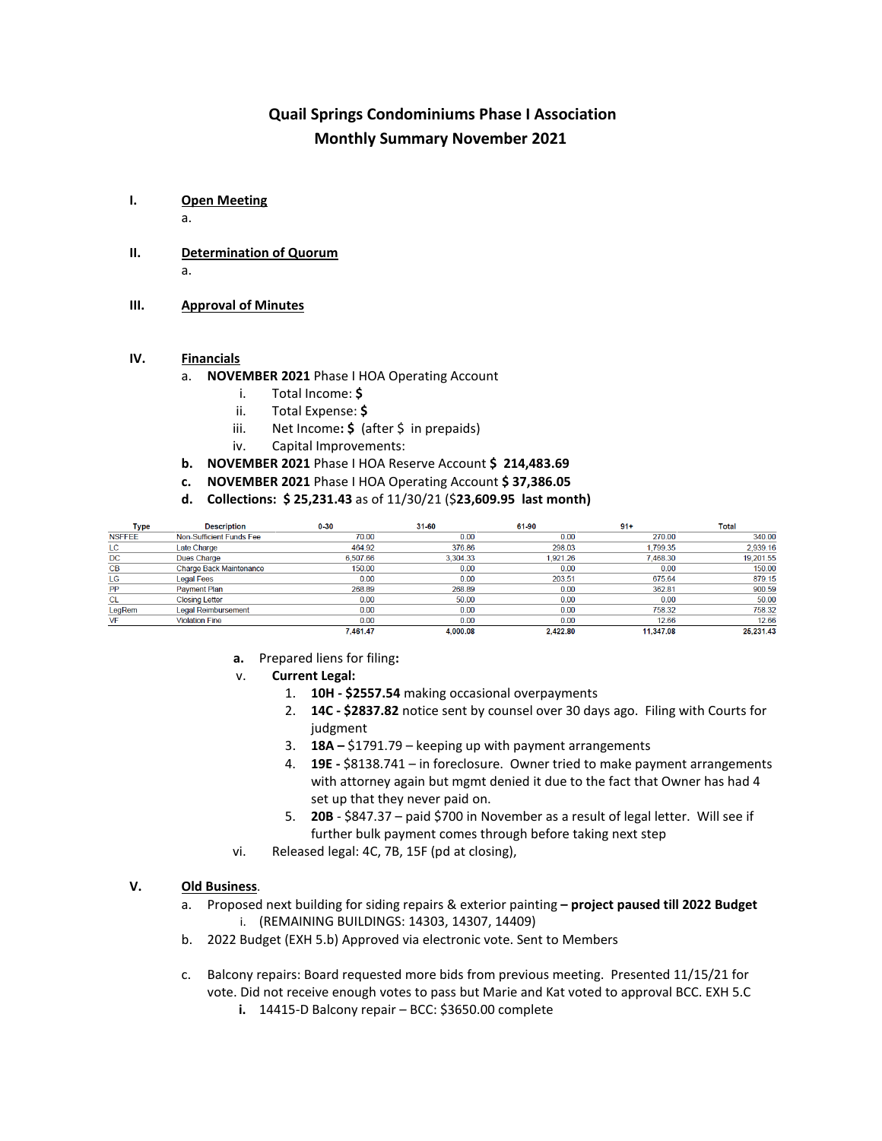### **Quail Springs Condominiums Phase I Association Monthly Summary November 2021**

### **I. Open Meeting**

a.

- **II. Determination of Quorum** a.
- **III. Approval of Minutes**

### **IV. Financials**

- a. **NOVEMBER 2021** Phase I HOA Operating Account
	- i. Total Income: **\$**
	- ii. Total Expense: **\$**
	- iii. Net Income: **\$** (after \$ in prepaids)
	- iv. Capital Improvements:
- **b. NOVEMBER 2021** Phase I HOA Reserve Account **\$ 214,483.69**
- **c. NOVEMBER 2021** Phase I HOA Operating Account **\$ 37,386.05**
- **d. Collections: \$ 25,231.43** as of 11/30/21 (\$**23,609.95 last month)**

| Type          | <b>Description</b>             | $0 - 30$ | 31-60    | 61-90    | $91+$     | Total     |
|---------------|--------------------------------|----------|----------|----------|-----------|-----------|
| <b>NSFFEE</b> | Non-Sufficient Funds Fee       | 70.00    | 0.00     | 0.00     | 270.00    | 340.00    |
| LC            | Late Charge                    | 464.92   | 376.86   | 298.03   | .799.35   | 2,939.16  |
| <b>DC</b>     | <b>Dues Charge</b>             | 6,507.66 | 3,304.33 | 1,921.26 | 468.30    | 19,201.55 |
| CB            | <b>Charge Back Maintenance</b> | 150.00   | 0.00     | 0.00     | 0.00      | 150.00    |
| LG            | Legal Fees                     | 0.00     | 0.00     | 203.51   | 675.64    | 879.15    |
| PP            | <b>Payment Plan</b>            | 268.89   | 268.89   | 0.00     | 362.81    | 900.59    |
| <b>CL</b>     | <b>Closing Letter</b>          | 0.00     | 50.00    | 0.00     | 0.00      | 50.00     |
| LegRem        | <b>Legal Reimbursement</b>     | 0.00     | 0.00     | 0.00     | 758.32    | 758.32    |
| VF            | <b>Violation Fine</b>          | 0.00     | 0.00     | 0.00     | 12.66     | 12.66     |
|               |                                | 7.461.47 | 4,000.08 | 2,422.80 | 11.347.08 | 25.231.43 |

- **a.** Prepared liens for filing**:**
- v. **Current Legal:**
	- 1. **10H - \$2557.54** making occasional overpayments
	- 2. **14C - \$2837.82** notice sent by counsel over 30 days ago. Filing with Courts for judgment
	- 3. **18A –** \$1791.79 keeping up with payment arrangements
	- 4. **19E -** \$8138.741 in foreclosure. Owner tried to make payment arrangements with attorney again but mgmt denied it due to the fact that Owner has had 4 set up that they never paid on.
	- 5. **20B**  \$847.37 paid \$700 in November as a result of legal letter. Will see if further bulk payment comes through before taking next step
- vi. Released legal: 4C, 7B, 15F (pd at closing),

#### **V. Old Business**.

- a. Proposed next building for siding repairs & exterior painting **– project paused till 2022 Budget** i. (REMAINING BUILDINGS: 14303, 14307, 14409)
- b. 2022 Budget (EXH 5.b) Approved via electronic vote. Sent to Members
- c. Balcony repairs: Board requested more bids from previous meeting. Presented 11/15/21 for vote. Did not receive enough votes to pass but Marie and Kat voted to approval BCC. EXH 5.C
	- **i.** 14415-D Balcony repair BCC: \$3650.00 complete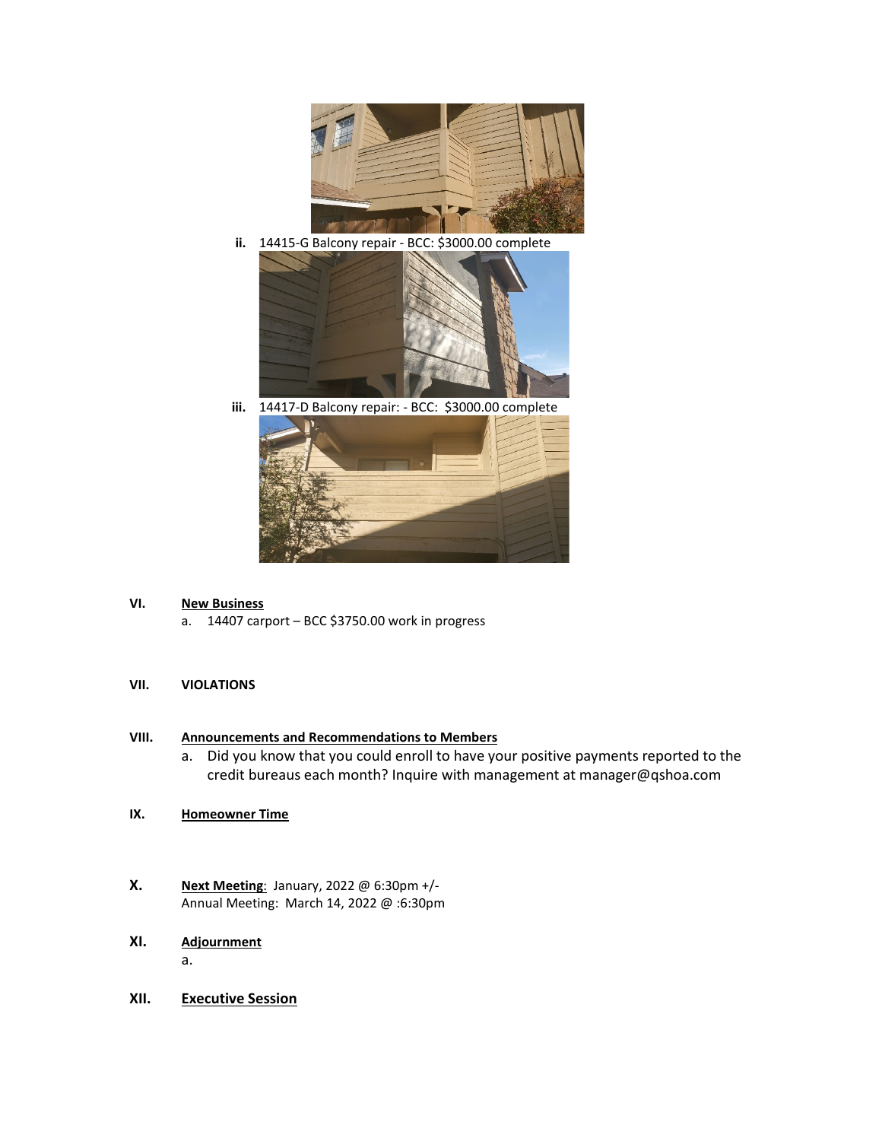

**ii.** 14415-G Balcony repair - BCC: \$3000.00 complete



**iii.** 14417-D Balcony repair: - BCC: \$3000.00 complete

### **VI. New Business**

a. 14407 carport – BCC \$3750.00 work in progress

#### **VII. VIOLATIONS**

#### **VIII. Announcements and Recommendations to Members**

- a. Did you know that you could enroll to have your positive payments reported to the credit bureaus each month? Inquire with management at manager@qshoa.com
- **IX. Homeowner Time**
- **X. Next Meeting**: January, 2022 @ 6:30pm +/- Annual Meeting: March 14, 2022 @ :6:30pm

### **XI. Adjournment**

a.

**XII. Executive Session**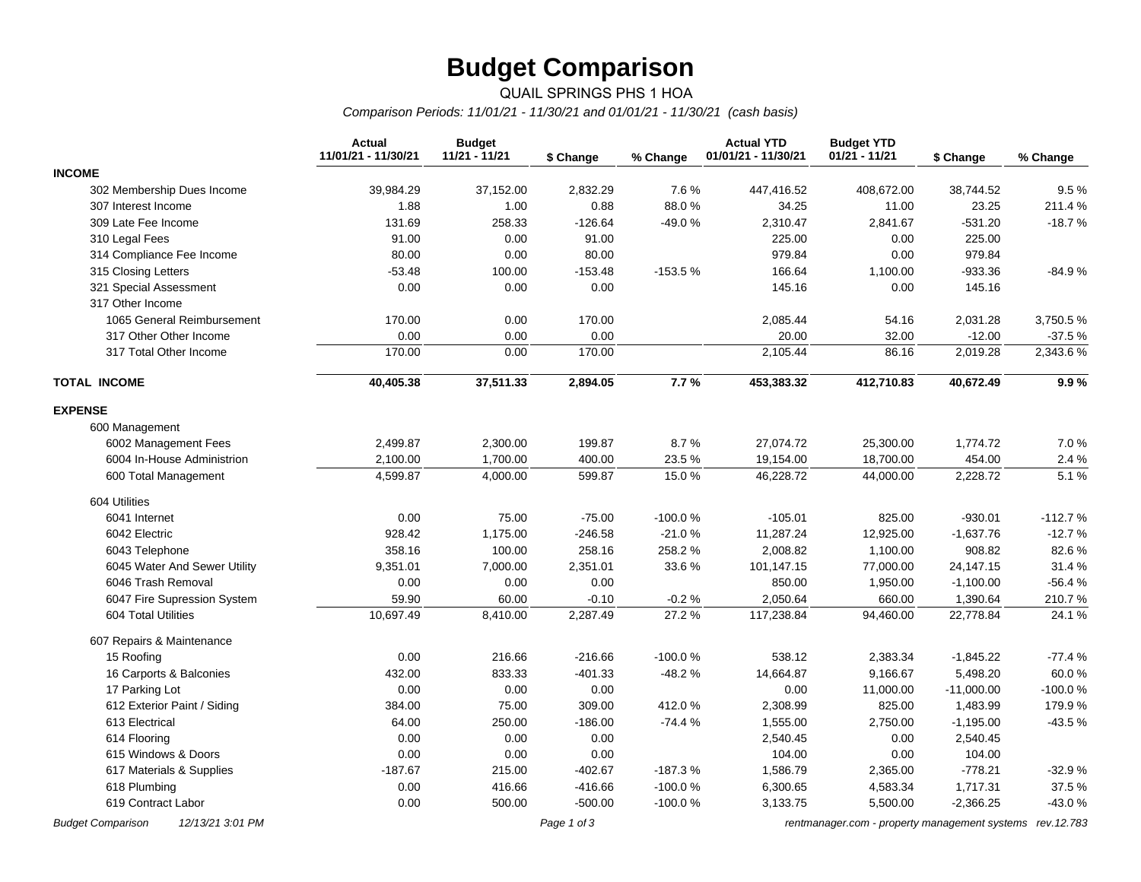# **Budget Comparison**

#### QUAIL SPRINGS PHS 1 HOA *Comparison Periods: 11/01/21 - 11/30/21 and 01/01/21 - 11/30/21 (cash basis)*

|                              | <b>Actual</b><br>11/01/21 - 11/30/21 | <b>Budget</b><br>11/21 - 11/21 | \$ Change | % Change  | <b>Actual YTD</b><br>01/01/21 - 11/30/21 | <b>Budget YTD</b><br>$01/21 - 11/21$ | \$ Change    | % Change  |
|------------------------------|--------------------------------------|--------------------------------|-----------|-----------|------------------------------------------|--------------------------------------|--------------|-----------|
| <b>INCOME</b>                |                                      |                                |           |           |                                          |                                      |              |           |
| 302 Membership Dues Income   | 39,984.29                            | 37,152.00                      | 2,832.29  | 7.6%      | 447,416.52                               | 408,672.00                           | 38,744.52    | 9.5%      |
| 307 Interest Income          | 1.88                                 | 1.00                           | 0.88      | 88.0%     | 34.25                                    | 11.00                                | 23.25        | 211.4 %   |
| 309 Late Fee Income          | 131.69                               | 258.33                         | $-126.64$ | $-49.0%$  | 2,310.47                                 | 2,841.67                             | $-531.20$    | $-18.7%$  |
| 310 Legal Fees               | 91.00                                | 0.00                           | 91.00     |           | 225.00                                   | 0.00                                 | 225.00       |           |
| 314 Compliance Fee Income    | 80.00                                | 0.00                           | 80.00     |           | 979.84                                   | 0.00                                 | 979.84       |           |
| 315 Closing Letters          | $-53.48$                             | 100.00                         | $-153.48$ | $-153.5%$ | 166.64                                   | 1,100.00                             | $-933.36$    | $-84.9%$  |
| 321 Special Assessment       | 0.00                                 | 0.00                           | 0.00      |           | 145.16                                   | 0.00                                 | 145.16       |           |
| 317 Other Income             |                                      |                                |           |           |                                          |                                      |              |           |
| 1065 General Reimbursement   | 170.00                               | 0.00                           | 170.00    |           | 2,085.44                                 | 54.16                                | 2,031.28     | 3,750.5%  |
| 317 Other Other Income       | 0.00                                 | 0.00                           | 0.00      |           | 20.00                                    | 32.00                                | $-12.00$     | -37.5 %   |
| 317 Total Other Income       | 170.00                               | 0.00                           | 170.00    |           | 2,105.44                                 | 86.16                                | 2,019.28     | 2,343.6%  |
| <b>TOTAL INCOME</b>          | 40,405.38                            | 37,511.33                      | 2,894.05  | 7.7%      | 453,383.32                               | 412,710.83                           | 40,672.49    | 9.9%      |
| <b>EXPENSE</b>               |                                      |                                |           |           |                                          |                                      |              |           |
| 600 Management               |                                      |                                |           |           |                                          |                                      |              |           |
| 6002 Management Fees         | 2,499.87                             | 2,300.00                       | 199.87    | 8.7%      | 27,074.72                                | 25,300.00                            | 1,774.72     | 7.0%      |
| 6004 In-House Administrion   | 2,100.00                             | 1,700.00                       | 400.00    | 23.5%     | 19,154.00                                | 18,700.00                            | 454.00       | 2.4 %     |
| 600 Total Management         | 4,599.87                             | 4,000.00                       | 599.87    | 15.0%     | 46,228.72                                | 44,000.00                            | 2,228.72     | 5.1%      |
| 604 Utilities                |                                      |                                |           |           |                                          |                                      |              |           |
| 6041 Internet                | 0.00                                 | 75.00                          | $-75.00$  | $-100.0%$ | $-105.01$                                | 825.00                               | $-930.01$    | $-112.7%$ |
| 6042 Electric                | 928.42                               | 1,175.00                       | $-246.58$ | $-21.0%$  | 11,287.24                                | 12,925.00                            | $-1,637.76$  | $-12.7%$  |
| 6043 Telephone               | 358.16                               | 100.00                         | 258.16    | 258.2%    | 2,008.82                                 | 1,100.00                             | 908.82       | 82.6%     |
| 6045 Water And Sewer Utility | 9,351.01                             | 7,000.00                       | 2,351.01  | 33.6%     | 101,147.15                               | 77,000.00                            | 24,147.15    | 31.4%     |
| 6046 Trash Removal           | 0.00                                 | 0.00                           | 0.00      |           | 850.00                                   | 1,950.00                             | $-1,100.00$  | $-56.4%$  |
| 6047 Fire Supression System  | 59.90                                | 60.00                          | $-0.10$   | $-0.2%$   | 2,050.64                                 | 660.00                               | 1,390.64     | 210.7%    |
| 604 Total Utilities          | 10,697.49                            | 8,410.00                       | 2,287.49  | 27.2 %    | 117,238.84                               | 94,460.00                            | 22,778.84    | 24.1%     |
| 607 Repairs & Maintenance    |                                      |                                |           |           |                                          |                                      |              |           |
| 15 Roofing                   | 0.00                                 | 216.66                         | $-216.66$ | $-100.0%$ | 538.12                                   | 2,383.34                             | $-1,845.22$  | $-77.4%$  |
| 16 Carports & Balconies      | 432.00                               | 833.33                         | $-401.33$ | $-48.2%$  | 14,664.87                                | 9,166.67                             | 5,498.20     | 60.0%     |
| 17 Parking Lot               | 0.00                                 | 0.00                           | 0.00      |           | 0.00                                     | 11,000.00                            | $-11,000.00$ | $-100.0%$ |
| 612 Exterior Paint / Siding  | 384.00                               | 75.00                          | 309.00    | 412.0%    | 2,308.99                                 | 825.00                               | 1,483.99     | 179.9%    |
| 613 Electrical               | 64.00                                | 250.00                         | $-186.00$ | $-74.4%$  | 1,555.00                                 | 2,750.00                             | $-1,195.00$  | $-43.5%$  |
| 614 Flooring                 | 0.00                                 | 0.00                           | 0.00      |           | 2,540.45                                 | 0.00                                 | 2,540.45     |           |
| 615 Windows & Doors          | 0.00                                 | 0.00                           | 0.00      |           | 104.00                                   | 0.00                                 | 104.00       |           |
| 617 Materials & Supplies     | $-187.67$                            | 215.00                         | $-402.67$ | $-187.3%$ | 1,586.79                                 | 2,365.00                             | $-778.21$    | $-32.9%$  |
| 618 Plumbing                 | 0.00                                 | 416.66                         | $-416.66$ | $-100.0%$ | 6,300.65                                 | 4,583.34                             | 1,717.31     | 37.5%     |
| 619 Contract Labor           | 0.00                                 | 500.00                         | $-500.00$ | $-100.0%$ | 3,133.75                                 | 5,500.00                             | $-2,366.25$  | $-43.0%$  |

*Budget Comparison 12/13/21 3:01 PM Page 1 of 3 [rentmanager.com - property management systems rev.12.783](http://www.rentmanager.com)*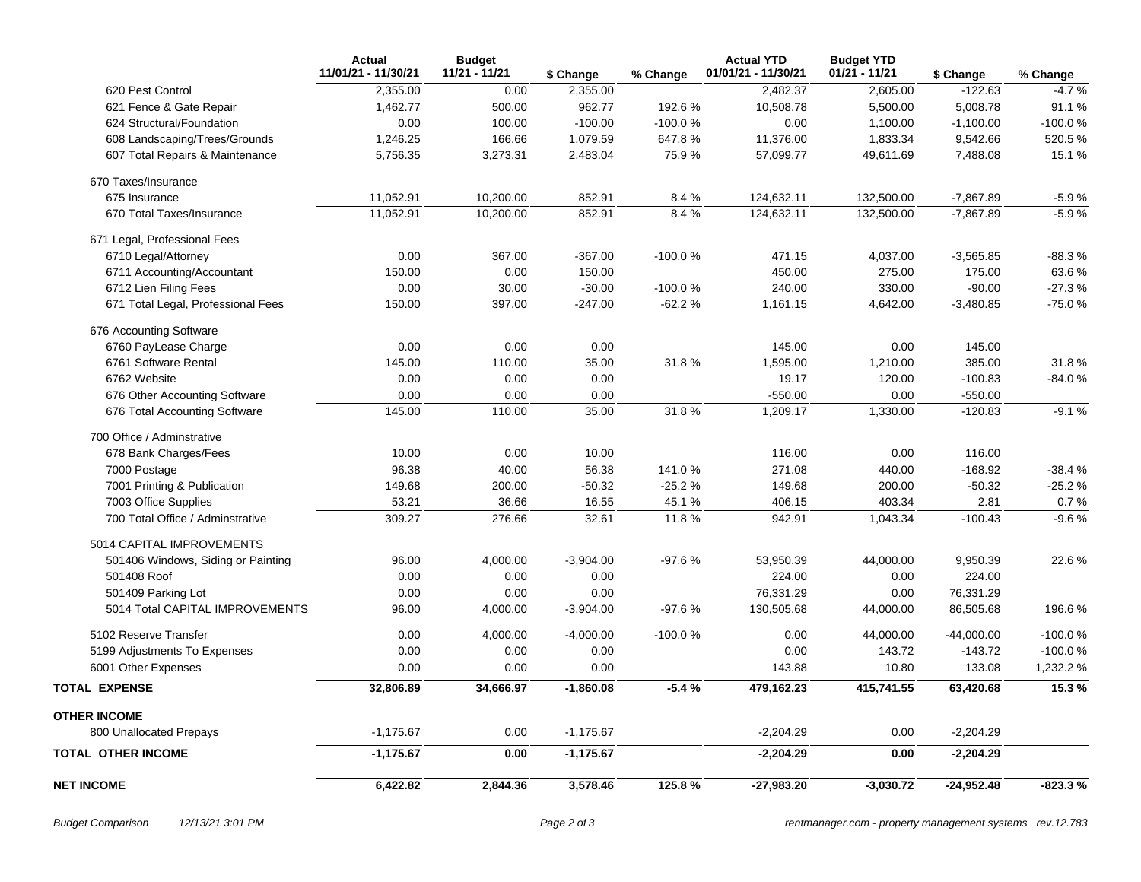|                                    | <b>Actual</b><br>11/01/21 - 11/30/21 | <b>Budget</b><br>11/21 - 11/21 | \$ Change   | % Change  | <b>Actual YTD</b><br>01/01/21 - 11/30/21 | <b>Budget YTD</b><br>01/21 - 11/21 | \$ Change    | % Change  |
|------------------------------------|--------------------------------------|--------------------------------|-------------|-----------|------------------------------------------|------------------------------------|--------------|-----------|
| 620 Pest Control                   | 2,355.00                             | 0.00                           | 2,355.00    |           | 2,482.37                                 | 2,605.00                           | $-122.63$    | $-4.7%$   |
| 621 Fence & Gate Repair            | 1,462.77                             | 500.00                         | 962.77      | 192.6%    | 10,508.78                                | 5,500.00                           | 5,008.78     | 91.1%     |
| 624 Structural/Foundation          | 0.00                                 | 100.00                         | $-100.00$   | $-100.0%$ | 0.00                                     | 1,100.00                           | $-1,100.00$  | -100.0%   |
| 608 Landscaping/Trees/Grounds      | 1,246.25                             | 166.66                         | 1,079.59    | 647.8%    | 11,376.00                                | 1,833.34                           | 9,542.66     | 520.5%    |
| 607 Total Repairs & Maintenance    | 5,756.35                             | 3,273.31                       | 2,483.04    | 75.9%     | 57,099.77                                | 49,611.69                          | 7,488.08     | 15.1 %    |
| 670 Taxes/Insurance                |                                      |                                |             |           |                                          |                                    |              |           |
| 675 Insurance                      | 11,052.91                            | 10,200.00                      | 852.91      | 8.4%      | 124,632.11                               | 132,500.00                         | $-7,867.89$  | $-5.9%$   |
| 670 Total Taxes/Insurance          | 11,052.91                            | 10,200.00                      | 852.91      | 8.4%      | 124,632.11                               | 132,500.00                         | $-7,867.89$  | $-5.9%$   |
| 671 Legal, Professional Fees       |                                      |                                |             |           |                                          |                                    |              |           |
| 6710 Legal/Attorney                | 0.00                                 | 367.00                         | $-367.00$   | $-100.0%$ | 471.15                                   | 4,037.00                           | $-3,565.85$  | $-88.3%$  |
| 6711 Accounting/Accountant         | 150.00                               | 0.00                           | 150.00      |           | 450.00                                   | 275.00                             | 175.00       | 63.6%     |
| 6712 Lien Filing Fees              | 0.00                                 | 30.00                          | $-30.00$    | $-100.0%$ | 240.00                                   | 330.00                             | $-90.00$     | $-27.3%$  |
| 671 Total Legal, Professional Fees | 150.00                               | 397.00                         | $-247.00$   | $-62.2%$  | 1,161.15                                 | 4,642.00                           | $-3,480.85$  | $-75.0%$  |
| 676 Accounting Software            |                                      |                                |             |           |                                          |                                    |              |           |
| 6760 PayLease Charge               | 0.00                                 | 0.00                           | 0.00        |           | 145.00                                   | 0.00                               | 145.00       |           |
| 6761 Software Rental               | 145.00                               | 110.00                         | 35.00       | 31.8%     | 1,595.00                                 | 1,210.00                           | 385.00       | 31.8%     |
| 6762 Website                       | 0.00                                 | 0.00                           | 0.00        |           | 19.17                                    | 120.00                             | $-100.83$    | $-84.0%$  |
| 676 Other Accounting Software      | 0.00                                 | 0.00                           | 0.00        |           | $-550.00$                                | 0.00                               | $-550.00$    |           |
| 676 Total Accounting Software      | 145.00                               | 110.00                         | 35.00       | 31.8%     | 1,209.17                                 | 1,330.00                           | $-120.83$    | $-9.1%$   |
| 700 Office / Adminstrative         |                                      |                                |             |           |                                          |                                    |              |           |
| 678 Bank Charges/Fees              | 10.00                                | 0.00                           | 10.00       |           | 116.00                                   | 0.00                               | 116.00       |           |
| 7000 Postage                       | 96.38                                | 40.00                          | 56.38       | 141.0%    | 271.08                                   | 440.00                             | $-168.92$    | $-38.4%$  |
| 7001 Printing & Publication        | 149.68                               | 200.00                         | $-50.32$    | $-25.2%$  | 149.68                                   | 200.00                             | $-50.32$     | $-25.2%$  |
| 7003 Office Supplies               | 53.21                                | 36.66                          | 16.55       | 45.1%     | 406.15                                   | 403.34                             | 2.81         | 0.7%      |
| 700 Total Office / Adminstrative   | 309.27                               | 276.66                         | 32.61       | 11.8%     | 942.91                                   | 1,043.34                           | $-100.43$    | $-9.6%$   |
| 5014 CAPITAL IMPROVEMENTS          |                                      |                                |             |           |                                          |                                    |              |           |
| 501406 Windows, Siding or Painting | 96.00                                | 4,000.00                       | $-3,904.00$ | $-97.6%$  | 53,950.39                                | 44,000.00                          | 9,950.39     | 22.6%     |
| 501408 Roof                        | 0.00                                 | 0.00                           | 0.00        |           | 224.00                                   | 0.00                               | 224.00       |           |
| 501409 Parking Lot                 | 0.00                                 | 0.00                           | 0.00        |           | 76,331.29                                | 0.00                               | 76,331.29    |           |
| 5014 Total CAPITAL IMPROVEMENTS    | 96.00                                | 4,000.00                       | $-3,904.00$ | $-97.6%$  | 130,505.68                               | 44,000.00                          | 86,505.68    | 196.6%    |
| 5102 Reserve Transfer              | 0.00                                 | 4,000.00                       | $-4,000.00$ | -100.0%   | 0.00                                     | 44,000.00                          | $-44,000.00$ | $-100.0%$ |
| 5199 Adjustments To Expenses       | 0.00                                 | 0.00                           | 0.00        |           | 0.00                                     | 143.72                             | $-143.72$    | $-100.0%$ |
| 6001 Other Expenses                | 0.00                                 | 0.00                           | 0.00        |           | 143.88                                   | 10.80                              | 133.08       | 1,232.2 % |
| <b>TOTAL EXPENSE</b>               | 32,806.89                            | 34,666.97                      | $-1,860.08$ | $-5.4%$   | 479,162.23                               | 415,741.55                         | 63,420.68    | 15.3%     |
| <b>OTHER INCOME</b>                |                                      |                                |             |           |                                          |                                    |              |           |
| 800 Unallocated Prepays            | $-1,175.67$                          | 0.00                           | $-1,175.67$ |           | $-2,204.29$                              | 0.00                               | $-2,204.29$  |           |
| <b>TOTAL OTHER INCOME</b>          | $-1,175.67$                          | 0.00                           | $-1,175.67$ |           | $-2,204.29$                              | 0.00                               | $-2,204.29$  |           |
| <b>NET INCOME</b>                  | 6,422.82                             | 2,844.36                       | 3,578.46    | 125.8%    | $-27,983.20$                             | $-3,030.72$                        | $-24,952.48$ | $-823.3%$ |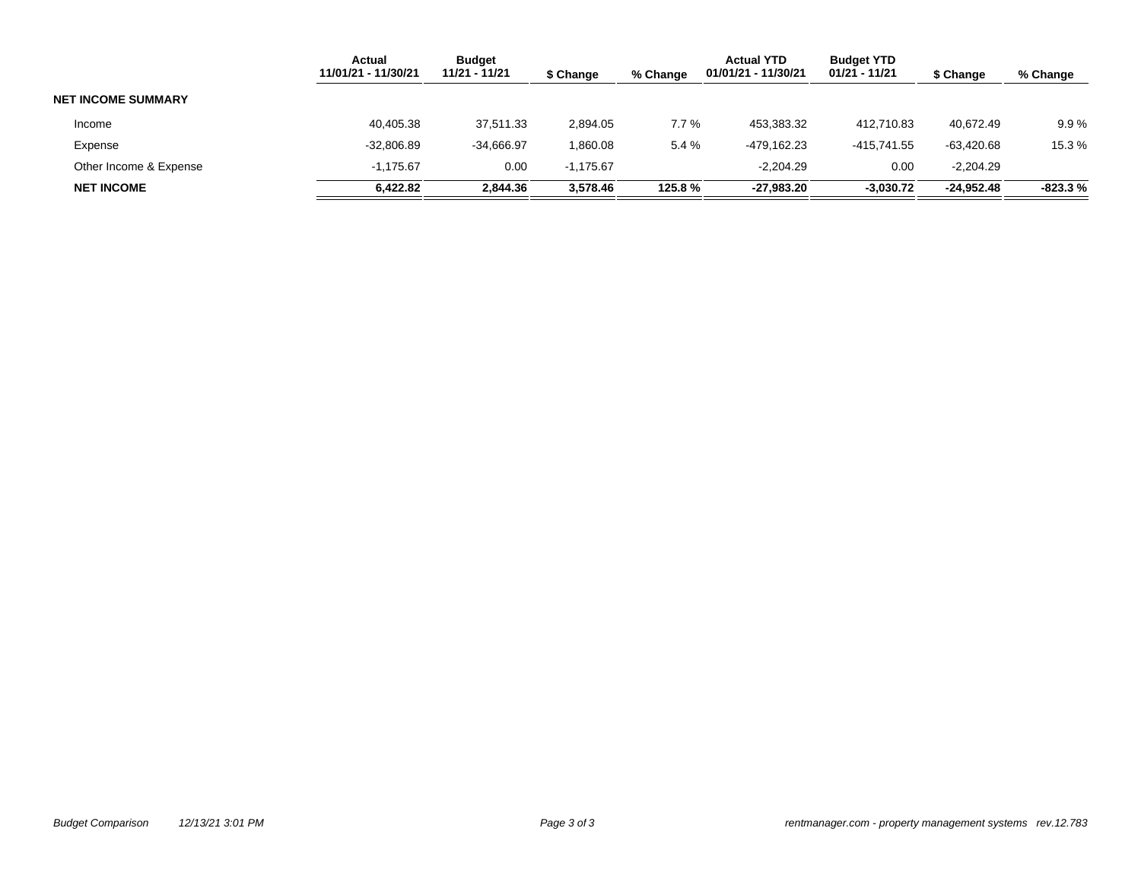|                           | <b>Actual</b><br>11/01/21 - 11/30/21 | <b>Budget</b><br>11/21 - 11/21 | \$ Change   | % Change | <b>Actual YTD</b><br>01/01/21 - 11/30/21 | <b>Budget YTD</b><br>01/21 - 11/21 | \$ Change    | % Change  |
|---------------------------|--------------------------------------|--------------------------------|-------------|----------|------------------------------------------|------------------------------------|--------------|-----------|
| <b>NET INCOME SUMMARY</b> |                                      |                                |             |          |                                          |                                    |              |           |
| Income                    | 40,405.38                            | 37.511.33                      | 2,894.05    | 7.7%     | 453.383.32                               | 412.710.83                         | 40.672.49    | 9.9%      |
| Expense                   | $-32,806.89$                         | $-34.666.97$                   | 1,860.08    | 5.4 %    | -479.162.23                              | -415.741.55                        | $-63.420.68$ | 15.3 %    |
| Other Income & Expense    | $-1.175.67$                          | 0.00                           | $-1.175.67$ |          | $-2.204.29$                              | 0.00                               | $-2.204.29$  |           |
| <b>NET INCOME</b>         | 6,422.82                             | 2,844.36                       | 3,578.46    | 125.8%   | -27.983.20                               | $-3,030.72$                        | $-24,952.48$ | $-823.3%$ |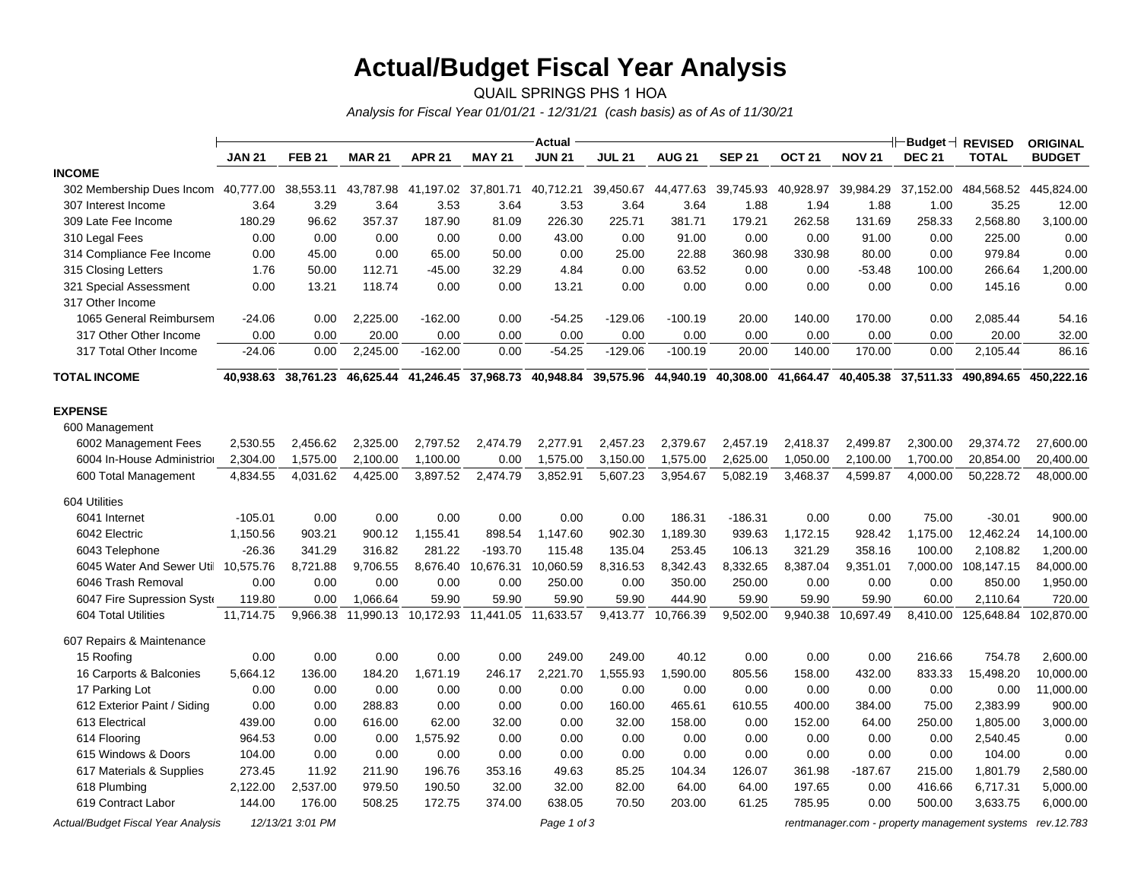# **Actual/Budget Fiscal Year Analysis**

QUAIL SPRINGS PHS 1 HOA *Analysis for Fiscal Year 01/01/21 - 12/31/21 (cash basis) as of As of 11/30/21*

|                                           |               |                  |               |                     |                     | <b>Actual</b> |               |                     |                               |               |               | H⊢Budget⊣ REVISED   |                                               | <b>ORIGINAL</b> |
|-------------------------------------------|---------------|------------------|---------------|---------------------|---------------------|---------------|---------------|---------------------|-------------------------------|---------------|---------------|---------------------|-----------------------------------------------|-----------------|
|                                           | <b>JAN 21</b> | <b>FEB 21</b>    | <b>MAR 21</b> | <b>APR 21</b>       | <b>MAY 21</b>       | <b>JUN 21</b> | <b>JUL 21</b> | <b>AUG 21</b>       | <b>SEP 21</b>                 | <b>OCT 21</b> | <b>NOV 21</b> | <b>DEC 21</b>       | <b>TOTAL</b>                                  | <b>BUDGET</b>   |
| <b>INCOME</b>                             |               |                  |               |                     |                     |               |               |                     |                               |               |               |                     |                                               |                 |
| 302 Membership Dues Incom 40,777.00       |               | 38,553.11        | 43,787.98     | 41,197.02 37,801.71 |                     | 40,712.21     |               | 39,450.67 44,477.63 | 39,745.93                     | 40,928.97     |               | 39,984.29 37,152.00 | 484,568.52 445,824.00                         |                 |
| 307 Interest Income                       | 3.64          | 3.29             | 3.64          | 3.53                | 3.64                | 3.53          | 3.64          | 3.64                | 1.88                          | 1.94          | 1.88          | 1.00                | 35.25                                         | 12.00           |
| 309 Late Fee Income                       | 180.29        | 96.62            | 357.37        | 187.90              | 81.09               | 226.30        | 225.71        | 381.71              | 179.21                        | 262.58        | 131.69        | 258.33              | 2,568.80                                      | 3,100.00        |
| 310 Legal Fees                            | 0.00          | 0.00             | 0.00          | 0.00                | 0.00                | 43.00         | 0.00          | 91.00               | 0.00                          | 0.00          | 91.00         | 0.00                | 225.00                                        | 0.00            |
| 314 Compliance Fee Income                 | 0.00          | 45.00            | 0.00          | 65.00               | 50.00               | 0.00          | 25.00         | 22.88               | 360.98                        | 330.98        | 80.00         | 0.00                | 979.84                                        | 0.00            |
| 315 Closing Letters                       | 1.76          | 50.00            | 112.71        | -45.00              | 32.29               | 4.84          | 0.00          | 63.52               | 0.00                          | 0.00          | $-53.48$      | 100.00              | 266.64                                        | 1,200.00        |
| 321 Special Assessment                    | 0.00          | 13.21            | 118.74        | 0.00                | 0.00                | 13.21         | 0.00          | 0.00                | 0.00                          | 0.00          | 0.00          | 0.00                | 145.16                                        | 0.00            |
| 317 Other Income                          |               |                  |               |                     |                     |               |               |                     |                               |               |               |                     |                                               |                 |
| 1065 General Reimbursem                   | $-24.06$      | 0.00             | 2,225.00      | $-162.00$           | 0.00                | $-54.25$      | $-129.06$     | $-100.19$           | 20.00                         | 140.00        | 170.00        | 0.00                | 2,085.44                                      | 54.16           |
| 317 Other Other Income                    | 0.00          | 0.00             | 20.00         | 0.00                | 0.00                | 0.00          | 0.00          | 0.00                | 0.00                          | 0.00          | 0.00          | 0.00                | 20.00                                         | 32.00           |
| 317 Total Other Income                    | $-24.06$      | 0.00             | 2,245.00      | $-162.00$           | 0.00                | $-54.25$      | $-129.06$     | $-100.19$           | 20.00                         | 140.00        | 170.00        | 0.00                | 2,105.44                                      | 86.16           |
| <b>TOTAL INCOME</b>                       | 40,938.63     | 38,761.23        | 46,625.44     |                     | 41,246.45 37,968.73 | 40,948.84     | 39,575.96     |                     | 44,940.19 40,308.00 41,664.47 |               |               | 40,405.38 37,511.33 | 490,894.65                                    | 450,222.16      |
| <b>EXPENSE</b>                            |               |                  |               |                     |                     |               |               |                     |                               |               |               |                     |                                               |                 |
| 600 Management                            |               |                  |               |                     |                     |               |               |                     |                               |               |               |                     |                                               |                 |
| 6002 Management Fees                      | 2,530.55      | 2,456.62         | 2,325.00      | 2,797.52            | 2,474.79            | 2,277.91      | 2,457.23      | 2,379.67            | 2,457.19                      | 2,418.37      | 2,499.87      | 2,300.00            | 29,374.72                                     | 27,600.00       |
| 6004 In-House Administrior                | 2,304.00      | 1,575.00         | 2,100.00      | 1,100.00            | 0.00                | 1,575.00      | 3,150.00      | 1,575.00            | 2,625.00                      | 1,050.00      | 2,100.00      | 1,700.00            | 20,854.00                                     | 20,400.00       |
| 600 Total Management                      | 4,834.55      | 4,031.62         | 4,425.00      | 3,897.52            | 2,474.79            | 3,852.91      | 5,607.23      | 3,954.67            | 5,082.19                      | 3,468.37      | 4,599.87      | 4,000.00            | 50,228.72                                     | 48,000.00       |
| 604 Utilities                             |               |                  |               |                     |                     |               |               |                     |                               |               |               |                     |                                               |                 |
| 6041 Internet                             | $-105.01$     | 0.00             | 0.00          | 0.00                | 0.00                | 0.00          | 0.00          | 186.31              | $-186.31$                     | 0.00          | 0.00          | 75.00               | $-30.01$                                      | 900.00          |
| 6042 Electric                             | 1,150.56      | 903.21           | 900.12        | 1,155.41            | 898.54              | 1,147.60      | 902.30        | 1,189.30            | 939.63                        | 1,172.15      | 928.42        | 1,175.00            | 12,462.24                                     | 14,100.00       |
| 6043 Telephone                            | $-26.36$      | 341.29           | 316.82        | 281.22              | $-193.70$           | 115.48        | 135.04        | 253.45              | 106.13                        | 321.29        | 358.16        | 100.00              | 2,108.82                                      | 1,200.00        |
| 6045 Water And Sewer Util 10,575.76       |               | 8,721.88         | 9,706.55      |                     | 8,676.40 10,676.31  | 10,060.59     | 8,316.53      | 8,342.43            | 8,332.65                      | 8,387.04      | 9,351.01      | 7,000.00            | 108,147.15                                    | 84,000.00       |
| 6046 Trash Removal                        | 0.00          | 0.00             | 0.00          | 0.00                | 0.00                | 250.00        | 0.00          | 350.00              | 250.00                        | 0.00          | 0.00          | 0.00                | 850.00                                        | 1,950.00        |
| 6047 Fire Supression Syste                | 119.80        | 0.00             | 1,066.64      | 59.90               | 59.90               | 59.90         | 59.90         | 444.90              | 59.90                         | 59.90         | 59.90         | 60.00               | 2,110.64                                      | 720.00          |
| 604 Total Utilities                       | 11.714.75     | 9,966.38         | 11,990.13     |                     | 10,172.93 11,441.05 | 11,633.57     | 9,413.77      | 10,766.39           | 9,502.00                      | 9,940.38      | 10,697.49     | 8,410.00            | 125.648.84                                    | 102.870.00      |
| 607 Repairs & Maintenance                 |               |                  |               |                     |                     |               |               |                     |                               |               |               |                     |                                               |                 |
| 15 Roofing                                | 0.00          | 0.00             | 0.00          | 0.00                | 0.00                | 249.00        | 249.00        | 40.12               | 0.00                          | 0.00          | 0.00          | 216.66              | 754.78                                        | 2,600.00        |
| 16 Carports & Balconies                   | 5,664.12      | 136.00           | 184.20        | 1,671.19            | 246.17              | 2,221.70      | 1,555.93      | 1,590.00            | 805.56                        | 158.00        | 432.00        | 833.33              | 15,498.20                                     | 10,000.00       |
| 17 Parking Lot                            | 0.00          | 0.00             | 0.00          | 0.00                | 0.00                | 0.00          | 0.00          | 0.00                | 0.00                          | 0.00          | 0.00          | 0.00                | 0.00                                          | 11,000.00       |
| 612 Exterior Paint / Siding               | 0.00          | 0.00             | 288.83        | 0.00                | 0.00                | 0.00          | 160.00        | 465.61              | 610.55                        | 400.00        | 384.00        | 75.00               | 2,383.99                                      | 900.00          |
| 613 Electrical                            | 439.00        | 0.00             | 616.00        | 62.00               | 32.00               | 0.00          | 32.00         | 158.00              | 0.00                          | 152.00        | 64.00         | 250.00              | 1,805.00                                      | 3,000.00        |
| 614 Flooring                              | 964.53        | 0.00             | 0.00          | 1,575.92            | 0.00                | 0.00          | 0.00          | 0.00                | 0.00                          | 0.00          | 0.00          | 0.00                | 2,540.45                                      | 0.00            |
| 615 Windows & Doors                       | 104.00        | 0.00             | 0.00          | 0.00                | 0.00                | 0.00          | 0.00          | 0.00                | 0.00                          | 0.00          | 0.00          | 0.00                | 104.00                                        | 0.00            |
| 617 Materials & Supplies                  | 273.45        | 11.92            | 211.90        | 196.76              | 353.16              | 49.63         | 85.25         | 104.34              | 126.07                        | 361.98        | $-187.67$     | 215.00              | 1,801.79                                      | 2,580.00        |
| 618 Plumbing                              | 2,122.00      | 2,537.00         | 979.50        | 190.50              | 32.00               | 32.00         | 82.00         | 64.00               | 64.00                         | 197.65        | 0.00          | 416.66              | 6,717.31                                      | 5,000.00        |
| 619 Contract Labor                        | 144.00        | 176.00           | 508.25        | 172.75              | 374.00              | 638.05        | 70.50         | 203.00              | 61.25                         | 785.95        | 0.00          | 500.00              | 3,633.75                                      | 6,000.00        |
| <b>Actual/Budget Fiscal Year Analysis</b> |               | 12/13/21 3:01 PM |               |                     |                     | Page 1 of 3   |               |                     |                               |               |               |                     | rentmanager.com - property management systems | rev. 12.783     |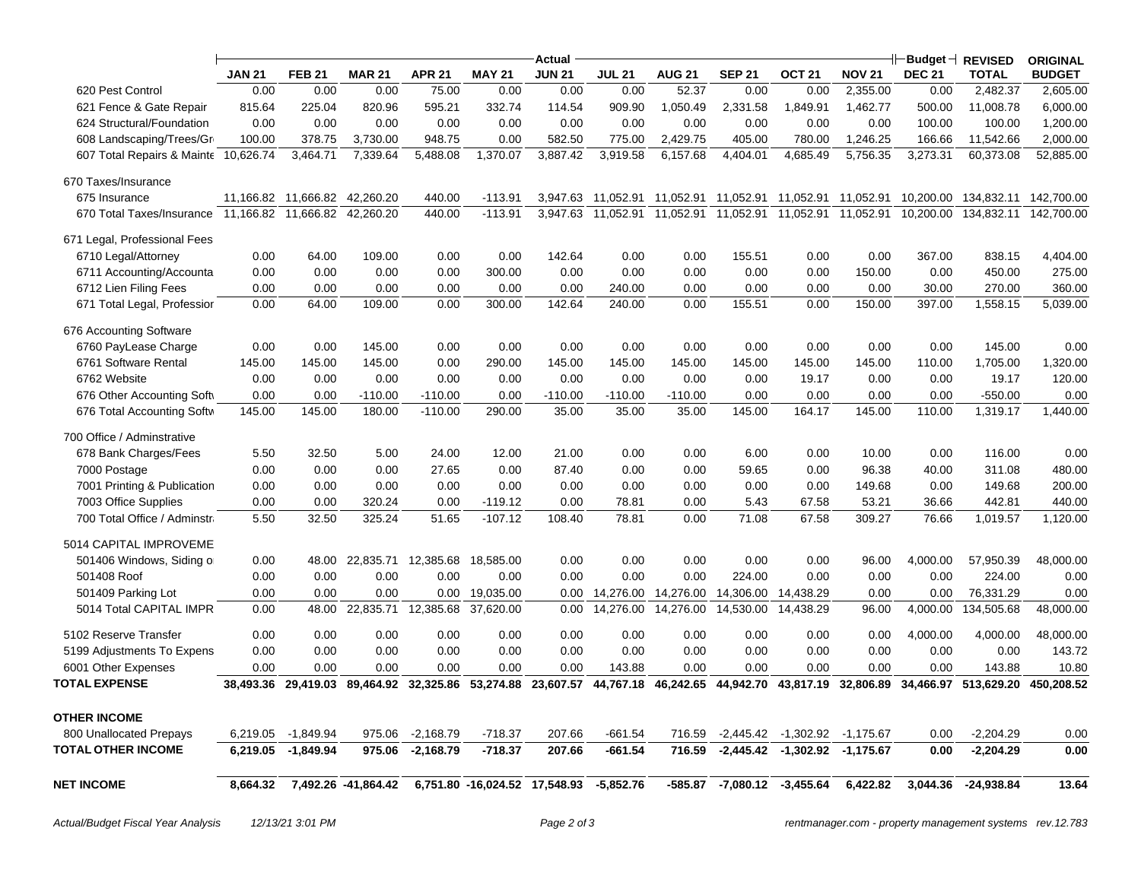|                                      |               |               |                                                   |               |                               | Actual        |                    |                                                   |                             |                   |               |               |                                | <b>ORIGINAL</b> |
|--------------------------------------|---------------|---------------|---------------------------------------------------|---------------|-------------------------------|---------------|--------------------|---------------------------------------------------|-----------------------------|-------------------|---------------|---------------|--------------------------------|-----------------|
|                                      | <b>JAN 21</b> | <b>FEB 21</b> | <b>MAR 21</b>                                     | <b>APR 21</b> | <b>MAY 21</b>                 | <b>JUN 21</b> | <b>JUL 21</b>      | <b>AUG 21</b>                                     | <b>SEP 21</b>               | OCT <sub>21</sub> | <b>NOV 21</b> | <b>DEC 21</b> | <b>TOTAL</b>                   | <b>BUDGET</b>   |
| 620 Pest Control                     | 0.00          | 0.00          | 0.00                                              | 75.00         | 0.00                          | 0.00          | 0.00               | 52.37                                             | 0.00                        | 0.00              | 2,355.00      | 0.00          | 2,482.37                       | 2,605.00        |
| 621 Fence & Gate Repair              | 815.64        | 225.04        | 820.96                                            | 595.21        | 332.74                        | 114.54        | 909.90             | 1,050.49                                          | 2,331.58                    | 1,849.91          | 1,462.77      | 500.00        | 11,008.78                      | 6,000.00        |
| 624 Structural/Foundation            | 0.00          | 0.00          | 0.00                                              | 0.00          | 0.00                          | 0.00          | 0.00               | 0.00                                              | 0.00                        | 0.00              | 0.00          | 100.00        | 100.00                         | 1,200.00        |
| 608 Landscaping/Trees/Gr             | 100.00        | 378.75        | 3,730.00                                          | 948.75        | 0.00                          | 582.50        | 775.00             | 2,429.75                                          | 405.00                      | 780.00            | 1,246.25      | 166.66        | 11,542.66                      | 2,000.00        |
| 607 Total Repairs & Mainte 10,626.74 |               | 3,464.71      | 7,339.64                                          | 5,488.08      | 1,370.07                      | 3,887.42      | 3,919.58           | 6,157.68                                          | 4,404.01                    | 4,685.49          | 5,756.35      | 3,273.31      | 60,373.08                      | 52,885.00       |
| 670 Taxes/Insurance                  |               |               |                                                   |               |                               |               |                    |                                                   |                             |                   |               |               |                                |                 |
| 675 Insurance                        | 11,166.82     | 11,666.82     | 42,260.20                                         | 440.00        | $-113.91$                     | 3,947.63      | 11,052.91          | 11,052.91                                         | 11,052.91                   | 11,052.91         | 11,052.91     | 10,200.00     | 134,832.11                     | 142,700.00      |
| 670 Total Taxes/Insurance 11,166.82  |               | 11,666.82     | 42,260.20                                         | 440.00        | $-113.91$                     |               | 3,947.63 11,052.91 | 11,052.91                                         | 11,052.91 11,052.91         |                   | 11,052.91     | 10,200.00     | 134,832.11                     | 142,700.00      |
| 671 Legal, Professional Fees         |               |               |                                                   |               |                               |               |                    |                                                   |                             |                   |               |               |                                |                 |
| 6710 Legal/Attorney                  | 0.00          | 64.00         | 109.00                                            | 0.00          | 0.00                          | 142.64        | 0.00               | 0.00                                              | 155.51                      | 0.00              | 0.00          | 367.00        | 838.15                         | 4,404.00        |
| 6711 Accounting/Accounta             | 0.00          | 0.00          | 0.00                                              | 0.00          | 300.00                        | 0.00          | 0.00               | 0.00                                              | 0.00                        | 0.00              | 150.00        | 0.00          | 450.00                         | 275.00          |
| 6712 Lien Filing Fees                | 0.00          | 0.00          | 0.00                                              | 0.00          | 0.00                          | 0.00          | 240.00             | 0.00                                              | 0.00                        | 0.00              | 0.00          | 30.00         | 270.00                         | 360.00          |
| 671 Total Legal, Professior          | 0.00          | 64.00         | 109.00                                            | 0.00          | 300.00                        | 142.64        | 240.00             | 0.00                                              | 155.51                      | 0.00              | 150.00        | 397.00        | 1,558.15                       | 5,039.00        |
| 676 Accounting Software              |               |               |                                                   |               |                               |               |                    |                                                   |                             |                   |               |               |                                |                 |
| 6760 PayLease Charge                 | 0.00          | 0.00          | 145.00                                            | 0.00          | 0.00                          | 0.00          | 0.00               | 0.00                                              | 0.00                        | 0.00              | 0.00          | 0.00          | 145.00                         | 0.00            |
| 6761 Software Rental                 | 145.00        | 145.00        | 145.00                                            | 0.00          | 290.00                        | 145.00        | 145.00             | 145.00                                            | 145.00                      | 145.00            | 145.00        | 110.00        | 1,705.00                       | 1,320.00        |
| 6762 Website                         | 0.00          | 0.00          | 0.00                                              | 0.00          | 0.00                          | 0.00          | 0.00               | 0.00                                              | 0.00                        | 19.17             | 0.00          | 0.00          | 19.17                          | 120.00          |
| 676 Other Accounting Soft            | 0.00          | 0.00          | $-110.00$                                         | $-110.00$     | 0.00                          | $-110.00$     | $-110.00$          | $-110.00$                                         | 0.00                        | 0.00              | 0.00          | 0.00          | $-550.00$                      | 0.00            |
| 676 Total Accounting Softw           | 145.00        | 145.00        | 180.00                                            | $-110.00$     | 290.00                        | 35.00         | 35.00              | 35.00                                             | 145.00                      | 164.17            | 145.00        | 110.00        | 1,319.17                       | 1,440.00        |
| 700 Office / Adminstrative           |               |               |                                                   |               |                               |               |                    |                                                   |                             |                   |               |               |                                |                 |
| 678 Bank Charges/Fees                | 5.50          | 32.50         | 5.00                                              | 24.00         | 12.00                         | 21.00         | 0.00               | 0.00                                              | 6.00                        | 0.00              | 10.00         | 0.00          | 116.00                         | 0.00            |
| 7000 Postage                         | 0.00          | 0.00          | 0.00                                              | 27.65         | 0.00                          | 87.40         | 0.00               | 0.00                                              | 59.65                       | 0.00              | 96.38         | 40.00         | 311.08                         | 480.00          |
| 7001 Printing & Publication          | 0.00          | 0.00          | 0.00                                              | 0.00          | 0.00                          | 0.00          | 0.00               | 0.00                                              | 0.00                        | 0.00              | 149.68        | 0.00          | 149.68                         | 200.00          |
| 7003 Office Supplies                 | 0.00          | 0.00          | 320.24                                            | 0.00          | $-119.12$                     | 0.00          | 78.81              | 0.00                                              | 5.43                        | 67.58             | 53.21         | 36.66         | 442.81                         | 440.00          |
| 700 Total Office / Adminstra         | 5.50          | 32.50         | 325.24                                            | 51.65         | $-107.12$                     | 108.40        | 78.81              | 0.00                                              | 71.08                       | 67.58             | 309.27        | 76.66         | 1,019.57                       | 1,120.00        |
| 5014 CAPITAL IMPROVEME               |               |               |                                                   |               |                               |               |                    |                                                   |                             |                   |               |               |                                |                 |
| 501406 Windows, Siding or            | 0.00          |               | 48.00 22,835.71 12,385.68                         |               | 18,585.00                     | 0.00          | 0.00               | 0.00                                              | 0.00                        | 0.00              | 96.00         | 4,000.00      | 57,950.39                      | 48,000.00       |
| 501408 Roof                          | 0.00          | 0.00          | 0.00                                              | 0.00          | 0.00                          | 0.00          | 0.00               | 0.00                                              | 224.00                      | 0.00              | 0.00          | 0.00          | 224.00                         | 0.00            |
| 501409 Parking Lot                   | 0.00          | 0.00          | 0.00                                              | 0.00          | 19,035.00                     | 0.00          | 14,276.00          | 14,276.00                                         | 14,306.00                   | 14,438.29         | 0.00          | 0.00          | 76,331.29                      | 0.00            |
| 5014 Total CAPITAL IMPR              | 0.00          | 48.00         | 22,835.71                                         | 12,385.68     | 37,620.00                     | 0.00          | 14,276.00          | 14,276.00                                         | 14,530.00                   | 14,438.29         | 96.00         | 4,000.00      | 134,505.68                     | 48,000.00       |
| 5102 Reserve Transfer                | 0.00          | 0.00          | 0.00                                              | 0.00          | 0.00                          | 0.00          | 0.00               | 0.00                                              | 0.00                        | 0.00              | 0.00          | 4,000.00      | 4,000.00                       | 48,000.00       |
| 5199 Adjustments To Expens           | 0.00          | 0.00          | 0.00                                              | 0.00          | 0.00                          | 0.00          | 0.00               | 0.00                                              | 0.00                        | 0.00              | 0.00          | 0.00          | 0.00                           | 143.72          |
| 6001 Other Expenses                  | 0.00          | 0.00          | 0.00                                              | 0.00          | 0.00                          | 0.00          | 143.88             | 0.00                                              | 0.00                        | 0.00              | 0.00          | 0.00          | 143.88                         | 10.80           |
| <b>TOTAL EXPENSE</b>                 |               |               | 38,493.36 29,419.03 89,464.92 32,325.86 53,274.88 |               |                               |               |                    | 23,607.57 44,767.18 46,242.65 44,942.70 43,817.19 |                             |                   |               |               | 32,806.89 34,466.97 513,629.20 | 450,208.52      |
| <b>OTHER INCOME</b>                  |               |               |                                                   |               |                               |               |                    |                                                   |                             |                   |               |               |                                |                 |
| 800 Unallocated Prepays              | 6,219.05      | -1,849.94     | 975.06                                            | $-2,168.79$   | $-718.37$                     | 207.66        | $-661.54$          | 716.59                                            | $-2,445.42$                 | $-1,302.92$       | $-1,175.67$   | 0.00          | $-2,204.29$                    | 0.00            |
| <b>TOTAL OTHER INCOME</b>            | 6,219.05      | $-1,849.94$   | 975.06                                            | $-2,168.79$   | $-718.37$                     | 207.66        | $-661.54$          | 716.59                                            | $-2,445.42$                 | $-1,302.92$       | $-1,175.67$   | 0.00          | $-2,204.29$                    | 0.00            |
|                                      |               |               |                                                   |               |                               |               |                    |                                                   |                             |                   |               |               |                                |                 |
| <b>NET INCOME</b>                    | 8.664.32      |               | 7,492.26 -41,864.42                               |               | 6,751.80 -16,024.52 17,548.93 |               | -5,852.76          |                                                   | -585.87 -7,080.12 -3,455.64 |                   | 6,422.82      | 3,044.36      | -24.938.84                     | 13.64           |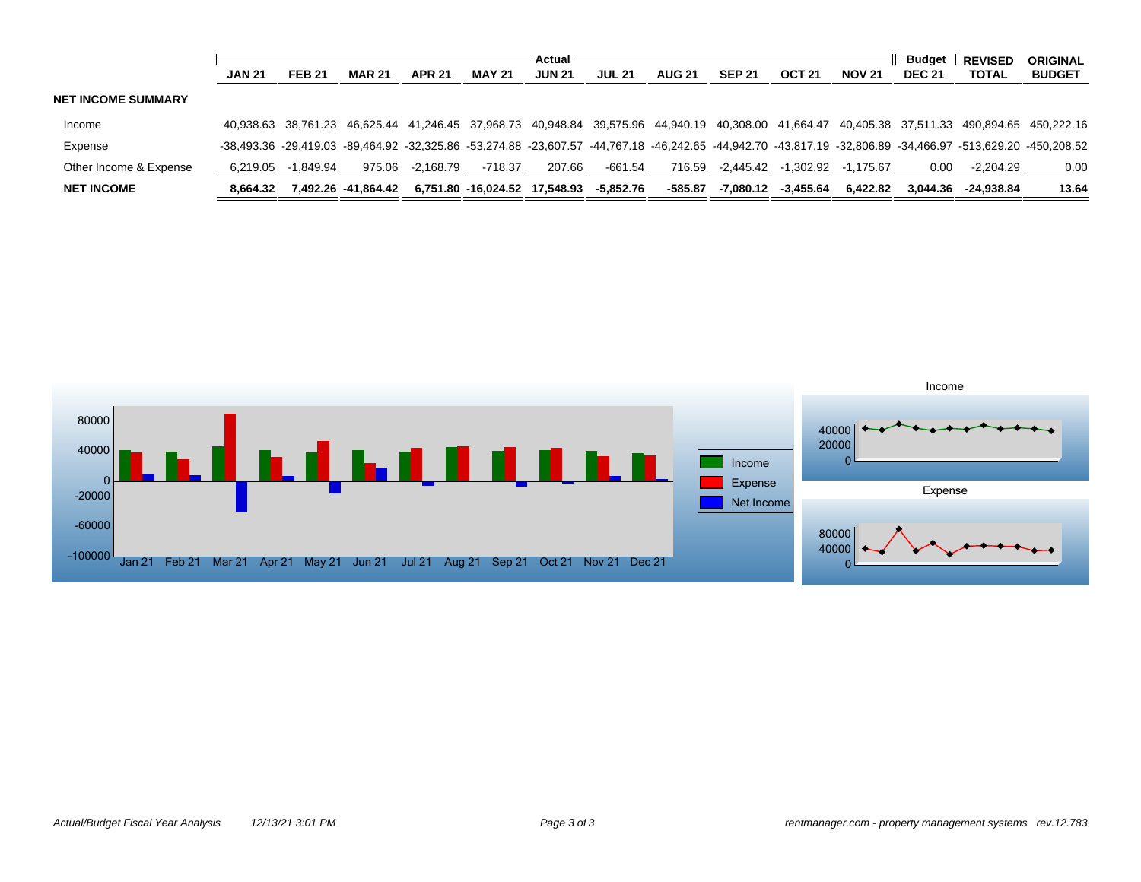|                           | Actual        |               |                      |               |                               |               |               |               |               |               | ⊢Budqet ⊣<br><b>REVISED</b> |               | <b>ORIGINAL</b>                                                                                                                                             |               |
|---------------------------|---------------|---------------|----------------------|---------------|-------------------------------|---------------|---------------|---------------|---------------|---------------|-----------------------------|---------------|-------------------------------------------------------------------------------------------------------------------------------------------------------------|---------------|
|                           | <b>JAN 21</b> | <b>FEB 21</b> | <b>MAR 21</b>        | <b>APR 21</b> | <b>MAY 21</b>                 | <b>JUN 21</b> | <b>JUL 21</b> | <b>AUG 21</b> | <b>SEP 21</b> | <b>OCT 21</b> | <b>NOV 21</b>               | <b>DEC 21</b> | <b>TOTAL</b>                                                                                                                                                | <b>BUDGET</b> |
| <b>NET INCOME SUMMARY</b> |               |               |                      |               |                               |               |               |               |               |               |                             |               |                                                                                                                                                             |               |
| Income                    |               |               |                      |               |                               |               |               |               |               |               |                             |               | 40,938.63 38,761.23 46,625.44 41,246.45 37,968.73 40,948.84 39,575.96 44,940.19 40,308.00 41,664.47 40,405.38 37,511.33 490,894.65 450,222.16               |               |
| Expense                   |               |               |                      |               |                               |               |               |               |               |               |                             |               | -38,493.36 -29,419.03 -89,464.92 -32,325.86 -53,274.88 -23,607.57 -44,767.18 -46,242.65 -44,942.70 -43,817.19 -32,806.89 -34,466.97 -513,629.20 -450,208.52 |               |
| Other Income & Expense    | 6.219.05      | -1.849.94     | 975.06               | -2.168.79     | $-718.37$                     | 207.66        | -661.54       | 716.59        | -2.445.42     | -1.302.92     | -1.175.67                   | 0.00          | $-2.204.29$                                                                                                                                                 | 0.00          |
| <b>NET INCOME</b>         | 8.664.32      |               | 7.492.26  -41.864.42 |               | 6.751.80 -16.024.52 17.548.93 |               | -5,852.76     | -585.87       | -7.080.12     | $-3.455.64$   | 6.422.82                    | 3.044.36      | -24.938.84                                                                                                                                                  | 13.64         |

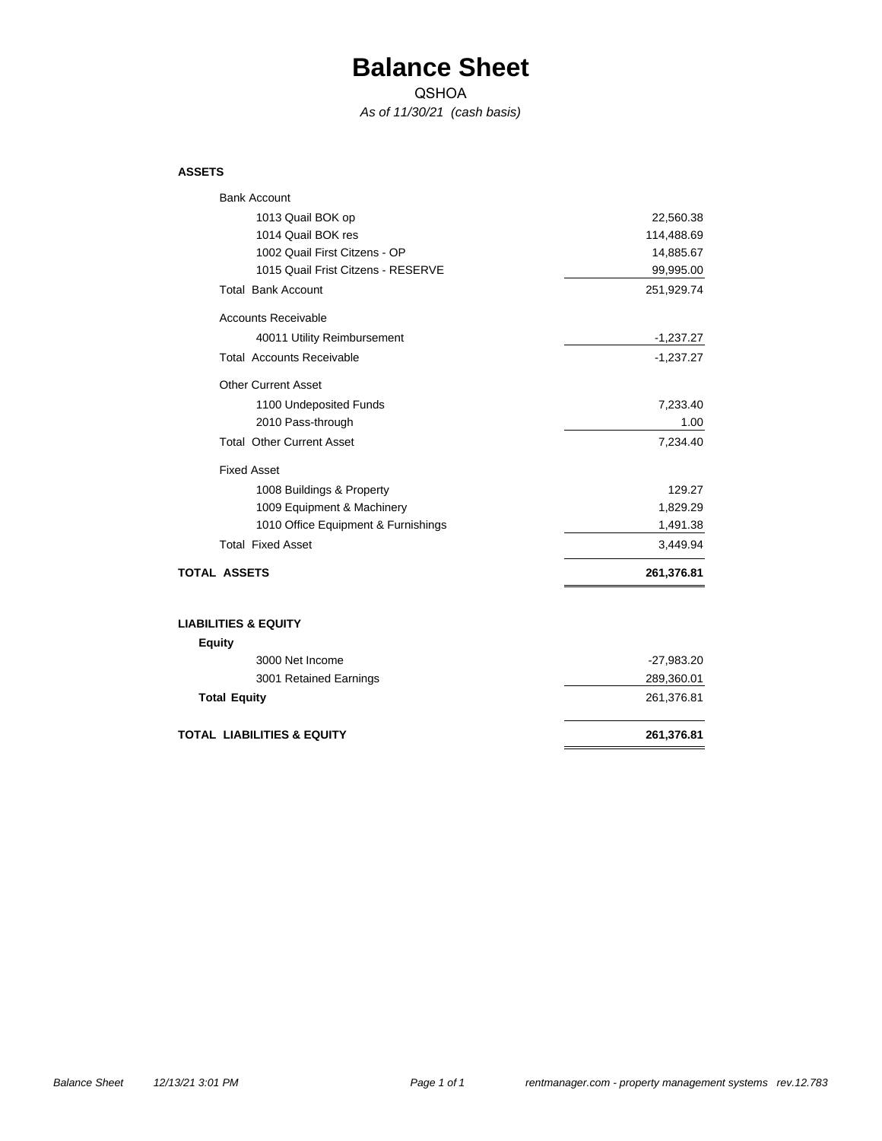### **Balance Sheet**

QSHOA

*As of 11/30/21 (cash basis)*

#### **ASSETS**

| <b>Bank Account</b>                   |              |
|---------------------------------------|--------------|
| 1013 Quail BOK op                     | 22,560.38    |
| 1014 Quail BOK res                    | 114,488.69   |
| 1002 Quail First Citzens - OP         | 14,885.67    |
| 1015 Quail Frist Citzens - RESERVE    | 99,995.00    |
| <b>Total Bank Account</b>             | 251,929.74   |
| <b>Accounts Receivable</b>            |              |
| 40011 Utility Reimbursement           | $-1,237.27$  |
| <b>Total Accounts Receivable</b>      | $-1,237.27$  |
| <b>Other Current Asset</b>            |              |
| 1100 Undeposited Funds                | 7,233.40     |
| 2010 Pass-through                     | 1.00         |
| <b>Total Other Current Asset</b>      | 7,234.40     |
| <b>Fixed Asset</b>                    |              |
| 1008 Buildings & Property             | 129.27       |
| 1009 Equipment & Machinery            | 1,829.29     |
| 1010 Office Equipment & Furnishings   | 1,491.38     |
| <b>Total Fixed Asset</b>              | 3,449.94     |
| <b>TOTAL ASSETS</b>                   | 261,376.81   |
| <b>LIABILITIES &amp; EQUITY</b>       |              |
| <b>Equity</b>                         |              |
| 3000 Net Income                       | $-27,983.20$ |
| 3001 Retained Earnings                | 289,360.01   |
| <b>Total Equity</b>                   | 261,376.81   |
| <b>TOTAL LIABILITIES &amp; EQUITY</b> | 261,376.81   |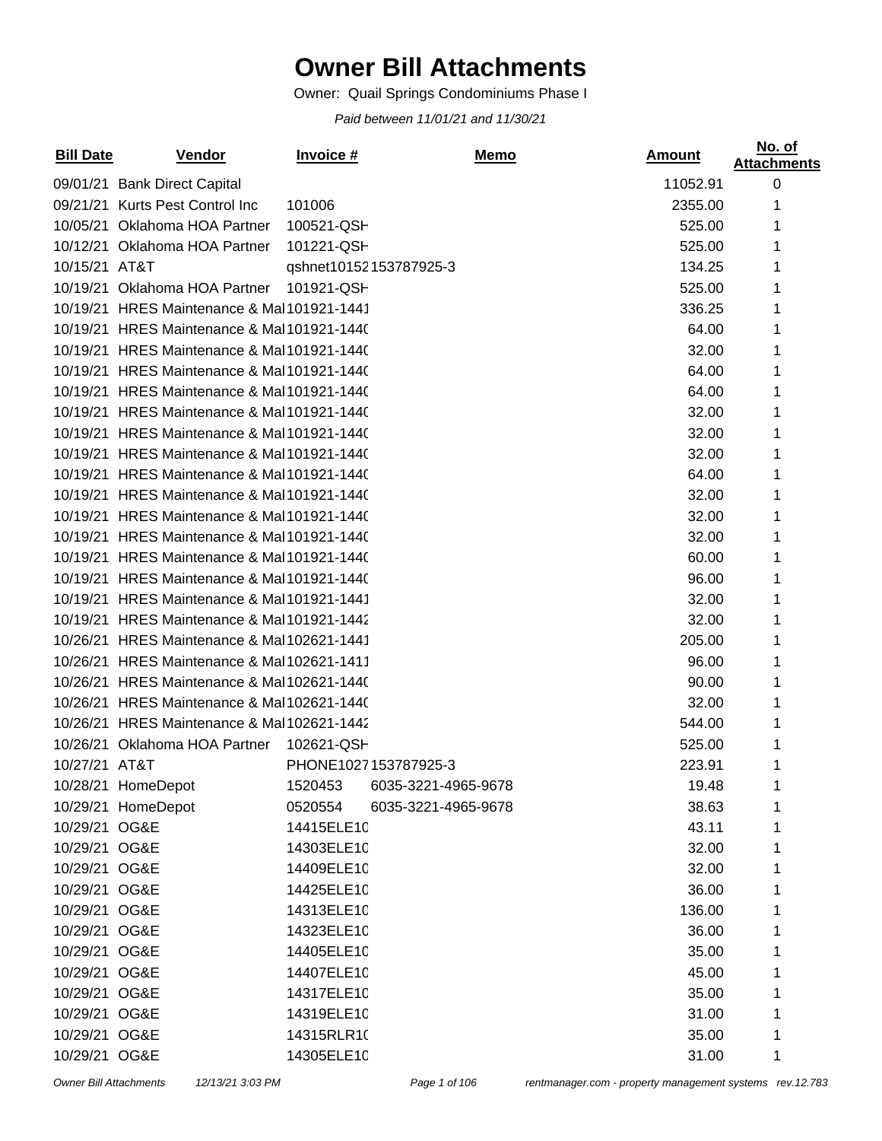## **Owner Bill Attachments**

Owner: Quail Springs Condominiums Phase I

*Paid between 11/01/21 and 11/30/21*

| <b>Bill Date</b> | Vendor                                     | Invoice #  | <b>Memo</b>            | <b>Amount</b> | No. of<br><b>Attachments</b> |
|------------------|--------------------------------------------|------------|------------------------|---------------|------------------------------|
|                  | 09/01/21 Bank Direct Capital               |            |                        | 11052.91      | 0                            |
|                  | 09/21/21 Kurts Pest Control Inc            | 101006     |                        | 2355.00       | 1                            |
|                  | 10/05/21 Oklahoma HOA Partner              | 100521-QSH |                        | 525.00        | 1                            |
|                  | 10/12/21 Oklahoma HOA Partner              | 101221-QSH |                        | 525.00        | 1                            |
| 10/15/21 AT&T    |                                            |            | qshnet10152153787925-3 | 134.25        | 1                            |
|                  | 10/19/21 Oklahoma HOA Partner              | 101921-QSH |                        | 525.00        |                              |
|                  | 10/19/21 HRES Maintenance & Mal101921-1441 |            |                        | 336.25        | 1                            |
|                  | 10/19/21 HRES Maintenance & Mal101921-1440 |            |                        | 64.00         | 1                            |
|                  | 10/19/21 HRES Maintenance & Mal101921-1440 |            |                        | 32.00         | 1                            |
|                  | 10/19/21 HRES Maintenance & Mal101921-1440 |            |                        | 64.00         | 1                            |
|                  | 10/19/21 HRES Maintenance & Mal101921-1440 |            |                        | 64.00         |                              |
|                  | 10/19/21 HRES Maintenance & Mal101921-1440 |            |                        | 32.00         | 1                            |
|                  | 10/19/21 HRES Maintenance & Mal101921-1440 |            |                        | 32.00         | 1                            |
|                  | 10/19/21 HRES Maintenance & Mal101921-1440 |            |                        | 32.00         | 1                            |
|                  | 10/19/21 HRES Maintenance & Mal101921-1440 |            |                        | 64.00         | 1                            |
|                  | 10/19/21 HRES Maintenance & Mal101921-1440 |            |                        | 32.00         |                              |
|                  | 10/19/21 HRES Maintenance & Mal101921-1440 |            |                        | 32.00         | 1                            |
|                  | 10/19/21 HRES Maintenance & Mal101921-1440 |            |                        | 32.00         | 1                            |
|                  | 10/19/21 HRES Maintenance & Mal101921-1440 |            |                        | 60.00         | 1                            |
|                  | 10/19/21 HRES Maintenance & Mal101921-1440 |            |                        | 96.00         | 1                            |
|                  | 10/19/21 HRES Maintenance & Mal101921-1441 |            |                        | 32.00         |                              |
|                  | 10/19/21 HRES Maintenance & Mal101921-1442 |            |                        | 32.00         | 1                            |
|                  | 10/26/21 HRES Maintenance & Mal102621-1441 |            |                        | 205.00        | 1                            |
|                  | 10/26/21 HRES Maintenance & Mal102621-1411 |            |                        | 96.00         | 1                            |
|                  | 10/26/21 HRES Maintenance & Mal102621-1440 |            |                        | 90.00         | 1                            |
|                  | 10/26/21 HRES Maintenance & Mal102621-1440 |            |                        | 32.00         |                              |
|                  | 10/26/21 HRES Maintenance & Mal102621-1442 |            |                        | 544.00        | 1                            |
|                  | 10/26/21 Oklahoma HOA Partner              | 102621-QSH |                        | 525.00        |                              |
| 10/27/21 AT&T    |                                            |            | PHONE1027153787925-3   | 223.91        |                              |
|                  | 10/28/21 HomeDepot                         | 1520453    | 6035-3221-4965-9678    | 19.48         | 1                            |
|                  | 10/29/21 HomeDepot                         | 0520554    | 6035-3221-4965-9678    | 38.63         | 1                            |
| 10/29/21 OG&E    |                                            | 14415ELE10 |                        | 43.11         | 1                            |
| 10/29/21 OG&E    |                                            | 14303ELE10 |                        | 32.00         | 1                            |
| 10/29/21 OG&E    |                                            | 14409ELE10 |                        | 32.00         | 1                            |
| 10/29/21 OG&E    |                                            | 14425ELE10 |                        | 36.00         | 1                            |
| 10/29/21 OG&E    |                                            | 14313ELE10 |                        | 136.00        | 1                            |
| 10/29/21 OG&E    |                                            | 14323ELE10 |                        | 36.00         | 1                            |
| 10/29/21 OG&E    |                                            | 14405ELE10 |                        | 35.00         | 1                            |
| 10/29/21 OG&E    |                                            | 14407ELE10 |                        | 45.00         | 1                            |
| 10/29/21 OG&E    |                                            | 14317ELE10 |                        | 35.00         | 1                            |
| 10/29/21 OG&E    |                                            | 14319ELE10 |                        | 31.00         | 1                            |
| 10/29/21 OG&E    |                                            | 14315RLR10 |                        | 35.00         | 1                            |
| 10/29/21 OG&E    |                                            | 14305ELE10 |                        | 31.00         | 1                            |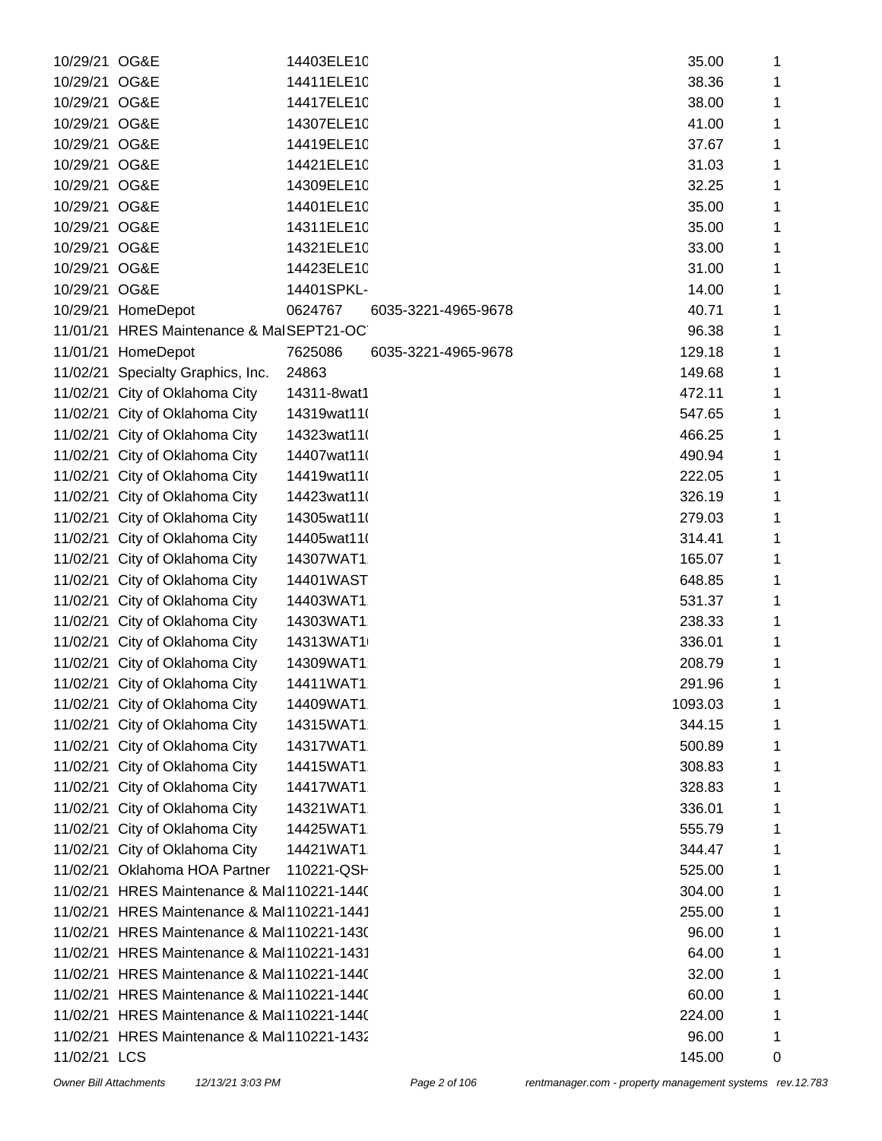| 10/29/21 OG&E<br>14411ELE10<br>38.36<br>1<br>10/29/21 OG&E<br>14417ELE10<br>38.00<br>1<br>14307ELE10<br>10/29/21 OG&E<br>41.00<br>1<br>10/29/21<br>OG&E<br>14419ELE10<br>37.67<br>1<br>14421ELE10<br>10/29/21 OG&E<br>31.03<br>1<br>14309ELE10<br>10/29/21 OG&E<br>32.25<br>1<br>10/29/21 OG&E<br>14401ELE10<br>35.00<br>1<br>10/29/21 OG&E<br>14311ELE10<br>35.00<br>1<br>14321ELE10<br>10/29/21<br>OG&E<br>33.00<br>1<br>10/29/21<br>OG&E<br>14423ELE10<br>31.00<br>1<br>10/29/21 OG&E<br>14401SPKL-<br>14.00<br>1<br>10/29/21 HomeDepot<br>0624767<br>40.71<br>6035-3221-4965-9678<br>1<br>11/01/21 HRES Maintenance & MalSEPT21-OC<br>96.38<br>1<br>11/01/21<br>HomeDepot<br>7625086<br>6035-3221-4965-9678<br>129.18<br>1<br>24863<br>11/02/21<br>Specialty Graphics, Inc.<br>149.68<br>1<br>11/02/21<br>City of Oklahoma City<br>14311-8wat1<br>472.11<br>1<br>11/02/21 City of Oklahoma City<br>14319wat11(<br>547.65<br>1<br>11/02/21<br>City of Oklahoma City<br>14323wat11(<br>466.25<br>1<br>11/02/21<br>City of Oklahoma City<br>14407wat11(<br>490.94<br>1<br>11/02/21<br>City of Oklahoma City<br>14419wat11(<br>222.05<br>1<br>11/02/21<br>City of Oklahoma City<br>14423wat11(<br>326.19<br>1<br>11/02/21 City of Oklahoma City<br>14305wat11(<br>279.03<br>1<br>11/02/21<br>City of Oklahoma City<br>14405wat11(<br>314.41<br>1<br>11/02/21<br>City of Oklahoma City<br>14307WAT1<br>165.07<br>1<br>11/02/21<br>City of Oklahoma City<br>14401WAST<br>648.85<br>1<br>11/02/21<br>City of Oklahoma City<br>14403WAT1<br>531.37<br>1<br>11/02/21 City of Oklahoma City<br>14303WAT1<br>238.33<br>1<br>11/02/21<br>City of Oklahoma City<br>14313WAT1<br>336.01<br>1<br>11/02/21<br>City of Oklahoma City<br>14309WAT1<br>208.79<br>1<br>11/02/21 City of Oklahoma City<br>14411WAT1<br>291.96<br>1<br>11/02/21 City of Oklahoma City<br>14409WAT1<br>1093.03<br>1<br>11/02/21 City of Oklahoma City<br>14315WAT1<br>344.15<br>1<br>City of Oklahoma City<br>11/02/21<br>14317WAT1<br>500.89<br>1<br>City of Oklahoma City<br>11/02/21<br>14415WAT1<br>308.83<br>1<br>City of Oklahoma City<br>11/02/21<br>14417WAT1<br>328.83<br>1<br>City of Oklahoma City<br>14321WAT1<br>11/02/21<br>336.01<br>1<br>City of Oklahoma City<br>14425WAT1<br>11/02/21<br>555.79<br>1<br>City of Oklahoma City<br>14421WAT1<br>11/02/21<br>344.47<br>1<br>11/02/21 Oklahoma HOA Partner<br>110221-QSH<br>525.00<br>1<br>11/02/21 HRES Maintenance & Mal110221-1440<br>304.00<br>1<br>11/02/21 HRES Maintenance & Mal110221-1441<br>255.00<br>1<br>11/02/21 HRES Maintenance & Mal110221-1430<br>96.00<br>1<br>11/02/21 HRES Maintenance & Mal110221-1431<br>64.00<br>1<br>11/02/21 HRES Maintenance & Mal110221-1440<br>32.00<br>1<br>11/02/21 HRES Maintenance & Mal110221-1440<br>60.00<br>1<br>11/02/21 HRES Maintenance & Mal110221-1440<br>224.00<br>1<br>11/02/21 HRES Maintenance & Mal110221-1432<br>96.00<br>1<br>11/02/21 LCS<br>145.00<br>0 | 10/29/21 | OG&E | 14403ELE10 | 35.00 | 1 |
|------------------------------------------------------------------------------------------------------------------------------------------------------------------------------------------------------------------------------------------------------------------------------------------------------------------------------------------------------------------------------------------------------------------------------------------------------------------------------------------------------------------------------------------------------------------------------------------------------------------------------------------------------------------------------------------------------------------------------------------------------------------------------------------------------------------------------------------------------------------------------------------------------------------------------------------------------------------------------------------------------------------------------------------------------------------------------------------------------------------------------------------------------------------------------------------------------------------------------------------------------------------------------------------------------------------------------------------------------------------------------------------------------------------------------------------------------------------------------------------------------------------------------------------------------------------------------------------------------------------------------------------------------------------------------------------------------------------------------------------------------------------------------------------------------------------------------------------------------------------------------------------------------------------------------------------------------------------------------------------------------------------------------------------------------------------------------------------------------------------------------------------------------------------------------------------------------------------------------------------------------------------------------------------------------------------------------------------------------------------------------------------------------------------------------------------------------------------------------------------------------------------------------------------------------------------------------------------------------------------------------------------------------------------------------------------------------------------------------------------------------------------------------------------------------------------------------------------------------------------------------------------------------------------------------------------------------|----------|------|------------|-------|---|
|                                                                                                                                                                                                                                                                                                                                                                                                                                                                                                                                                                                                                                                                                                                                                                                                                                                                                                                                                                                                                                                                                                                                                                                                                                                                                                                                                                                                                                                                                                                                                                                                                                                                                                                                                                                                                                                                                                                                                                                                                                                                                                                                                                                                                                                                                                                                                                                                                                                                                                                                                                                                                                                                                                                                                                                                                                                                                                                                                      |          |      |            |       |   |
|                                                                                                                                                                                                                                                                                                                                                                                                                                                                                                                                                                                                                                                                                                                                                                                                                                                                                                                                                                                                                                                                                                                                                                                                                                                                                                                                                                                                                                                                                                                                                                                                                                                                                                                                                                                                                                                                                                                                                                                                                                                                                                                                                                                                                                                                                                                                                                                                                                                                                                                                                                                                                                                                                                                                                                                                                                                                                                                                                      |          |      |            |       |   |
|                                                                                                                                                                                                                                                                                                                                                                                                                                                                                                                                                                                                                                                                                                                                                                                                                                                                                                                                                                                                                                                                                                                                                                                                                                                                                                                                                                                                                                                                                                                                                                                                                                                                                                                                                                                                                                                                                                                                                                                                                                                                                                                                                                                                                                                                                                                                                                                                                                                                                                                                                                                                                                                                                                                                                                                                                                                                                                                                                      |          |      |            |       |   |
|                                                                                                                                                                                                                                                                                                                                                                                                                                                                                                                                                                                                                                                                                                                                                                                                                                                                                                                                                                                                                                                                                                                                                                                                                                                                                                                                                                                                                                                                                                                                                                                                                                                                                                                                                                                                                                                                                                                                                                                                                                                                                                                                                                                                                                                                                                                                                                                                                                                                                                                                                                                                                                                                                                                                                                                                                                                                                                                                                      |          |      |            |       |   |
|                                                                                                                                                                                                                                                                                                                                                                                                                                                                                                                                                                                                                                                                                                                                                                                                                                                                                                                                                                                                                                                                                                                                                                                                                                                                                                                                                                                                                                                                                                                                                                                                                                                                                                                                                                                                                                                                                                                                                                                                                                                                                                                                                                                                                                                                                                                                                                                                                                                                                                                                                                                                                                                                                                                                                                                                                                                                                                                                                      |          |      |            |       |   |
|                                                                                                                                                                                                                                                                                                                                                                                                                                                                                                                                                                                                                                                                                                                                                                                                                                                                                                                                                                                                                                                                                                                                                                                                                                                                                                                                                                                                                                                                                                                                                                                                                                                                                                                                                                                                                                                                                                                                                                                                                                                                                                                                                                                                                                                                                                                                                                                                                                                                                                                                                                                                                                                                                                                                                                                                                                                                                                                                                      |          |      |            |       |   |
|                                                                                                                                                                                                                                                                                                                                                                                                                                                                                                                                                                                                                                                                                                                                                                                                                                                                                                                                                                                                                                                                                                                                                                                                                                                                                                                                                                                                                                                                                                                                                                                                                                                                                                                                                                                                                                                                                                                                                                                                                                                                                                                                                                                                                                                                                                                                                                                                                                                                                                                                                                                                                                                                                                                                                                                                                                                                                                                                                      |          |      |            |       |   |
|                                                                                                                                                                                                                                                                                                                                                                                                                                                                                                                                                                                                                                                                                                                                                                                                                                                                                                                                                                                                                                                                                                                                                                                                                                                                                                                                                                                                                                                                                                                                                                                                                                                                                                                                                                                                                                                                                                                                                                                                                                                                                                                                                                                                                                                                                                                                                                                                                                                                                                                                                                                                                                                                                                                                                                                                                                                                                                                                                      |          |      |            |       |   |
|                                                                                                                                                                                                                                                                                                                                                                                                                                                                                                                                                                                                                                                                                                                                                                                                                                                                                                                                                                                                                                                                                                                                                                                                                                                                                                                                                                                                                                                                                                                                                                                                                                                                                                                                                                                                                                                                                                                                                                                                                                                                                                                                                                                                                                                                                                                                                                                                                                                                                                                                                                                                                                                                                                                                                                                                                                                                                                                                                      |          |      |            |       |   |
|                                                                                                                                                                                                                                                                                                                                                                                                                                                                                                                                                                                                                                                                                                                                                                                                                                                                                                                                                                                                                                                                                                                                                                                                                                                                                                                                                                                                                                                                                                                                                                                                                                                                                                                                                                                                                                                                                                                                                                                                                                                                                                                                                                                                                                                                                                                                                                                                                                                                                                                                                                                                                                                                                                                                                                                                                                                                                                                                                      |          |      |            |       |   |
|                                                                                                                                                                                                                                                                                                                                                                                                                                                                                                                                                                                                                                                                                                                                                                                                                                                                                                                                                                                                                                                                                                                                                                                                                                                                                                                                                                                                                                                                                                                                                                                                                                                                                                                                                                                                                                                                                                                                                                                                                                                                                                                                                                                                                                                                                                                                                                                                                                                                                                                                                                                                                                                                                                                                                                                                                                                                                                                                                      |          |      |            |       |   |
|                                                                                                                                                                                                                                                                                                                                                                                                                                                                                                                                                                                                                                                                                                                                                                                                                                                                                                                                                                                                                                                                                                                                                                                                                                                                                                                                                                                                                                                                                                                                                                                                                                                                                                                                                                                                                                                                                                                                                                                                                                                                                                                                                                                                                                                                                                                                                                                                                                                                                                                                                                                                                                                                                                                                                                                                                                                                                                                                                      |          |      |            |       |   |
|                                                                                                                                                                                                                                                                                                                                                                                                                                                                                                                                                                                                                                                                                                                                                                                                                                                                                                                                                                                                                                                                                                                                                                                                                                                                                                                                                                                                                                                                                                                                                                                                                                                                                                                                                                                                                                                                                                                                                                                                                                                                                                                                                                                                                                                                                                                                                                                                                                                                                                                                                                                                                                                                                                                                                                                                                                                                                                                                                      |          |      |            |       |   |
|                                                                                                                                                                                                                                                                                                                                                                                                                                                                                                                                                                                                                                                                                                                                                                                                                                                                                                                                                                                                                                                                                                                                                                                                                                                                                                                                                                                                                                                                                                                                                                                                                                                                                                                                                                                                                                                                                                                                                                                                                                                                                                                                                                                                                                                                                                                                                                                                                                                                                                                                                                                                                                                                                                                                                                                                                                                                                                                                                      |          |      |            |       |   |
|                                                                                                                                                                                                                                                                                                                                                                                                                                                                                                                                                                                                                                                                                                                                                                                                                                                                                                                                                                                                                                                                                                                                                                                                                                                                                                                                                                                                                                                                                                                                                                                                                                                                                                                                                                                                                                                                                                                                                                                                                                                                                                                                                                                                                                                                                                                                                                                                                                                                                                                                                                                                                                                                                                                                                                                                                                                                                                                                                      |          |      |            |       |   |
|                                                                                                                                                                                                                                                                                                                                                                                                                                                                                                                                                                                                                                                                                                                                                                                                                                                                                                                                                                                                                                                                                                                                                                                                                                                                                                                                                                                                                                                                                                                                                                                                                                                                                                                                                                                                                                                                                                                                                                                                                                                                                                                                                                                                                                                                                                                                                                                                                                                                                                                                                                                                                                                                                                                                                                                                                                                                                                                                                      |          |      |            |       |   |
|                                                                                                                                                                                                                                                                                                                                                                                                                                                                                                                                                                                                                                                                                                                                                                                                                                                                                                                                                                                                                                                                                                                                                                                                                                                                                                                                                                                                                                                                                                                                                                                                                                                                                                                                                                                                                                                                                                                                                                                                                                                                                                                                                                                                                                                                                                                                                                                                                                                                                                                                                                                                                                                                                                                                                                                                                                                                                                                                                      |          |      |            |       |   |
|                                                                                                                                                                                                                                                                                                                                                                                                                                                                                                                                                                                                                                                                                                                                                                                                                                                                                                                                                                                                                                                                                                                                                                                                                                                                                                                                                                                                                                                                                                                                                                                                                                                                                                                                                                                                                                                                                                                                                                                                                                                                                                                                                                                                                                                                                                                                                                                                                                                                                                                                                                                                                                                                                                                                                                                                                                                                                                                                                      |          |      |            |       |   |
|                                                                                                                                                                                                                                                                                                                                                                                                                                                                                                                                                                                                                                                                                                                                                                                                                                                                                                                                                                                                                                                                                                                                                                                                                                                                                                                                                                                                                                                                                                                                                                                                                                                                                                                                                                                                                                                                                                                                                                                                                                                                                                                                                                                                                                                                                                                                                                                                                                                                                                                                                                                                                                                                                                                                                                                                                                                                                                                                                      |          |      |            |       |   |
|                                                                                                                                                                                                                                                                                                                                                                                                                                                                                                                                                                                                                                                                                                                                                                                                                                                                                                                                                                                                                                                                                                                                                                                                                                                                                                                                                                                                                                                                                                                                                                                                                                                                                                                                                                                                                                                                                                                                                                                                                                                                                                                                                                                                                                                                                                                                                                                                                                                                                                                                                                                                                                                                                                                                                                                                                                                                                                                                                      |          |      |            |       |   |
|                                                                                                                                                                                                                                                                                                                                                                                                                                                                                                                                                                                                                                                                                                                                                                                                                                                                                                                                                                                                                                                                                                                                                                                                                                                                                                                                                                                                                                                                                                                                                                                                                                                                                                                                                                                                                                                                                                                                                                                                                                                                                                                                                                                                                                                                                                                                                                                                                                                                                                                                                                                                                                                                                                                                                                                                                                                                                                                                                      |          |      |            |       |   |
|                                                                                                                                                                                                                                                                                                                                                                                                                                                                                                                                                                                                                                                                                                                                                                                                                                                                                                                                                                                                                                                                                                                                                                                                                                                                                                                                                                                                                                                                                                                                                                                                                                                                                                                                                                                                                                                                                                                                                                                                                                                                                                                                                                                                                                                                                                                                                                                                                                                                                                                                                                                                                                                                                                                                                                                                                                                                                                                                                      |          |      |            |       |   |
|                                                                                                                                                                                                                                                                                                                                                                                                                                                                                                                                                                                                                                                                                                                                                                                                                                                                                                                                                                                                                                                                                                                                                                                                                                                                                                                                                                                                                                                                                                                                                                                                                                                                                                                                                                                                                                                                                                                                                                                                                                                                                                                                                                                                                                                                                                                                                                                                                                                                                                                                                                                                                                                                                                                                                                                                                                                                                                                                                      |          |      |            |       |   |
|                                                                                                                                                                                                                                                                                                                                                                                                                                                                                                                                                                                                                                                                                                                                                                                                                                                                                                                                                                                                                                                                                                                                                                                                                                                                                                                                                                                                                                                                                                                                                                                                                                                                                                                                                                                                                                                                                                                                                                                                                                                                                                                                                                                                                                                                                                                                                                                                                                                                                                                                                                                                                                                                                                                                                                                                                                                                                                                                                      |          |      |            |       |   |
|                                                                                                                                                                                                                                                                                                                                                                                                                                                                                                                                                                                                                                                                                                                                                                                                                                                                                                                                                                                                                                                                                                                                                                                                                                                                                                                                                                                                                                                                                                                                                                                                                                                                                                                                                                                                                                                                                                                                                                                                                                                                                                                                                                                                                                                                                                                                                                                                                                                                                                                                                                                                                                                                                                                                                                                                                                                                                                                                                      |          |      |            |       |   |
|                                                                                                                                                                                                                                                                                                                                                                                                                                                                                                                                                                                                                                                                                                                                                                                                                                                                                                                                                                                                                                                                                                                                                                                                                                                                                                                                                                                                                                                                                                                                                                                                                                                                                                                                                                                                                                                                                                                                                                                                                                                                                                                                                                                                                                                                                                                                                                                                                                                                                                                                                                                                                                                                                                                                                                                                                                                                                                                                                      |          |      |            |       |   |
|                                                                                                                                                                                                                                                                                                                                                                                                                                                                                                                                                                                                                                                                                                                                                                                                                                                                                                                                                                                                                                                                                                                                                                                                                                                                                                                                                                                                                                                                                                                                                                                                                                                                                                                                                                                                                                                                                                                                                                                                                                                                                                                                                                                                                                                                                                                                                                                                                                                                                                                                                                                                                                                                                                                                                                                                                                                                                                                                                      |          |      |            |       |   |
|                                                                                                                                                                                                                                                                                                                                                                                                                                                                                                                                                                                                                                                                                                                                                                                                                                                                                                                                                                                                                                                                                                                                                                                                                                                                                                                                                                                                                                                                                                                                                                                                                                                                                                                                                                                                                                                                                                                                                                                                                                                                                                                                                                                                                                                                                                                                                                                                                                                                                                                                                                                                                                                                                                                                                                                                                                                                                                                                                      |          |      |            |       |   |
|                                                                                                                                                                                                                                                                                                                                                                                                                                                                                                                                                                                                                                                                                                                                                                                                                                                                                                                                                                                                                                                                                                                                                                                                                                                                                                                                                                                                                                                                                                                                                                                                                                                                                                                                                                                                                                                                                                                                                                                                                                                                                                                                                                                                                                                                                                                                                                                                                                                                                                                                                                                                                                                                                                                                                                                                                                                                                                                                                      |          |      |            |       |   |
|                                                                                                                                                                                                                                                                                                                                                                                                                                                                                                                                                                                                                                                                                                                                                                                                                                                                                                                                                                                                                                                                                                                                                                                                                                                                                                                                                                                                                                                                                                                                                                                                                                                                                                                                                                                                                                                                                                                                                                                                                                                                                                                                                                                                                                                                                                                                                                                                                                                                                                                                                                                                                                                                                                                                                                                                                                                                                                                                                      |          |      |            |       |   |
|                                                                                                                                                                                                                                                                                                                                                                                                                                                                                                                                                                                                                                                                                                                                                                                                                                                                                                                                                                                                                                                                                                                                                                                                                                                                                                                                                                                                                                                                                                                                                                                                                                                                                                                                                                                                                                                                                                                                                                                                                                                                                                                                                                                                                                                                                                                                                                                                                                                                                                                                                                                                                                                                                                                                                                                                                                                                                                                                                      |          |      |            |       |   |
|                                                                                                                                                                                                                                                                                                                                                                                                                                                                                                                                                                                                                                                                                                                                                                                                                                                                                                                                                                                                                                                                                                                                                                                                                                                                                                                                                                                                                                                                                                                                                                                                                                                                                                                                                                                                                                                                                                                                                                                                                                                                                                                                                                                                                                                                                                                                                                                                                                                                                                                                                                                                                                                                                                                                                                                                                                                                                                                                                      |          |      |            |       |   |
|                                                                                                                                                                                                                                                                                                                                                                                                                                                                                                                                                                                                                                                                                                                                                                                                                                                                                                                                                                                                                                                                                                                                                                                                                                                                                                                                                                                                                                                                                                                                                                                                                                                                                                                                                                                                                                                                                                                                                                                                                                                                                                                                                                                                                                                                                                                                                                                                                                                                                                                                                                                                                                                                                                                                                                                                                                                                                                                                                      |          |      |            |       |   |
|                                                                                                                                                                                                                                                                                                                                                                                                                                                                                                                                                                                                                                                                                                                                                                                                                                                                                                                                                                                                                                                                                                                                                                                                                                                                                                                                                                                                                                                                                                                                                                                                                                                                                                                                                                                                                                                                                                                                                                                                                                                                                                                                                                                                                                                                                                                                                                                                                                                                                                                                                                                                                                                                                                                                                                                                                                                                                                                                                      |          |      |            |       |   |
|                                                                                                                                                                                                                                                                                                                                                                                                                                                                                                                                                                                                                                                                                                                                                                                                                                                                                                                                                                                                                                                                                                                                                                                                                                                                                                                                                                                                                                                                                                                                                                                                                                                                                                                                                                                                                                                                                                                                                                                                                                                                                                                                                                                                                                                                                                                                                                                                                                                                                                                                                                                                                                                                                                                                                                                                                                                                                                                                                      |          |      |            |       |   |
|                                                                                                                                                                                                                                                                                                                                                                                                                                                                                                                                                                                                                                                                                                                                                                                                                                                                                                                                                                                                                                                                                                                                                                                                                                                                                                                                                                                                                                                                                                                                                                                                                                                                                                                                                                                                                                                                                                                                                                                                                                                                                                                                                                                                                                                                                                                                                                                                                                                                                                                                                                                                                                                                                                                                                                                                                                                                                                                                                      |          |      |            |       |   |
|                                                                                                                                                                                                                                                                                                                                                                                                                                                                                                                                                                                                                                                                                                                                                                                                                                                                                                                                                                                                                                                                                                                                                                                                                                                                                                                                                                                                                                                                                                                                                                                                                                                                                                                                                                                                                                                                                                                                                                                                                                                                                                                                                                                                                                                                                                                                                                                                                                                                                                                                                                                                                                                                                                                                                                                                                                                                                                                                                      |          |      |            |       |   |
|                                                                                                                                                                                                                                                                                                                                                                                                                                                                                                                                                                                                                                                                                                                                                                                                                                                                                                                                                                                                                                                                                                                                                                                                                                                                                                                                                                                                                                                                                                                                                                                                                                                                                                                                                                                                                                                                                                                                                                                                                                                                                                                                                                                                                                                                                                                                                                                                                                                                                                                                                                                                                                                                                                                                                                                                                                                                                                                                                      |          |      |            |       |   |
|                                                                                                                                                                                                                                                                                                                                                                                                                                                                                                                                                                                                                                                                                                                                                                                                                                                                                                                                                                                                                                                                                                                                                                                                                                                                                                                                                                                                                                                                                                                                                                                                                                                                                                                                                                                                                                                                                                                                                                                                                                                                                                                                                                                                                                                                                                                                                                                                                                                                                                                                                                                                                                                                                                                                                                                                                                                                                                                                                      |          |      |            |       |   |
|                                                                                                                                                                                                                                                                                                                                                                                                                                                                                                                                                                                                                                                                                                                                                                                                                                                                                                                                                                                                                                                                                                                                                                                                                                                                                                                                                                                                                                                                                                                                                                                                                                                                                                                                                                                                                                                                                                                                                                                                                                                                                                                                                                                                                                                                                                                                                                                                                                                                                                                                                                                                                                                                                                                                                                                                                                                                                                                                                      |          |      |            |       |   |
|                                                                                                                                                                                                                                                                                                                                                                                                                                                                                                                                                                                                                                                                                                                                                                                                                                                                                                                                                                                                                                                                                                                                                                                                                                                                                                                                                                                                                                                                                                                                                                                                                                                                                                                                                                                                                                                                                                                                                                                                                                                                                                                                                                                                                                                                                                                                                                                                                                                                                                                                                                                                                                                                                                                                                                                                                                                                                                                                                      |          |      |            |       |   |
|                                                                                                                                                                                                                                                                                                                                                                                                                                                                                                                                                                                                                                                                                                                                                                                                                                                                                                                                                                                                                                                                                                                                                                                                                                                                                                                                                                                                                                                                                                                                                                                                                                                                                                                                                                                                                                                                                                                                                                                                                                                                                                                                                                                                                                                                                                                                                                                                                                                                                                                                                                                                                                                                                                                                                                                                                                                                                                                                                      |          |      |            |       |   |
|                                                                                                                                                                                                                                                                                                                                                                                                                                                                                                                                                                                                                                                                                                                                                                                                                                                                                                                                                                                                                                                                                                                                                                                                                                                                                                                                                                                                                                                                                                                                                                                                                                                                                                                                                                                                                                                                                                                                                                                                                                                                                                                                                                                                                                                                                                                                                                                                                                                                                                                                                                                                                                                                                                                                                                                                                                                                                                                                                      |          |      |            |       |   |
|                                                                                                                                                                                                                                                                                                                                                                                                                                                                                                                                                                                                                                                                                                                                                                                                                                                                                                                                                                                                                                                                                                                                                                                                                                                                                                                                                                                                                                                                                                                                                                                                                                                                                                                                                                                                                                                                                                                                                                                                                                                                                                                                                                                                                                                                                                                                                                                                                                                                                                                                                                                                                                                                                                                                                                                                                                                                                                                                                      |          |      |            |       |   |
|                                                                                                                                                                                                                                                                                                                                                                                                                                                                                                                                                                                                                                                                                                                                                                                                                                                                                                                                                                                                                                                                                                                                                                                                                                                                                                                                                                                                                                                                                                                                                                                                                                                                                                                                                                                                                                                                                                                                                                                                                                                                                                                                                                                                                                                                                                                                                                                                                                                                                                                                                                                                                                                                                                                                                                                                                                                                                                                                                      |          |      |            |       |   |
|                                                                                                                                                                                                                                                                                                                                                                                                                                                                                                                                                                                                                                                                                                                                                                                                                                                                                                                                                                                                                                                                                                                                                                                                                                                                                                                                                                                                                                                                                                                                                                                                                                                                                                                                                                                                                                                                                                                                                                                                                                                                                                                                                                                                                                                                                                                                                                                                                                                                                                                                                                                                                                                                                                                                                                                                                                                                                                                                                      |          |      |            |       |   |
|                                                                                                                                                                                                                                                                                                                                                                                                                                                                                                                                                                                                                                                                                                                                                                                                                                                                                                                                                                                                                                                                                                                                                                                                                                                                                                                                                                                                                                                                                                                                                                                                                                                                                                                                                                                                                                                                                                                                                                                                                                                                                                                                                                                                                                                                                                                                                                                                                                                                                                                                                                                                                                                                                                                                                                                                                                                                                                                                                      |          |      |            |       |   |
|                                                                                                                                                                                                                                                                                                                                                                                                                                                                                                                                                                                                                                                                                                                                                                                                                                                                                                                                                                                                                                                                                                                                                                                                                                                                                                                                                                                                                                                                                                                                                                                                                                                                                                                                                                                                                                                                                                                                                                                                                                                                                                                                                                                                                                                                                                                                                                                                                                                                                                                                                                                                                                                                                                                                                                                                                                                                                                                                                      |          |      |            |       |   |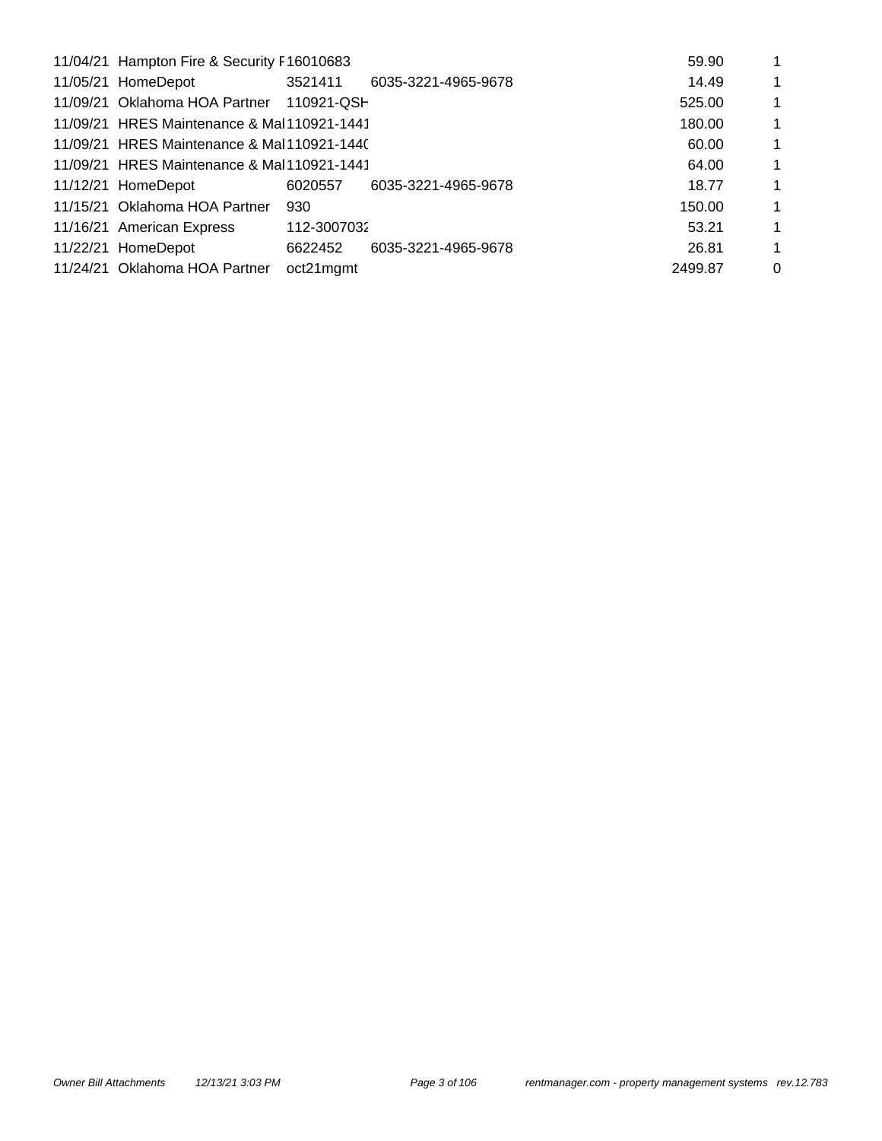| 59.90<br>11/04/21 Hampton Fire & Security F16010683 |             |                     |             |             |  |  |  |  |  |  |
|-----------------------------------------------------|-------------|---------------------|-------------|-------------|--|--|--|--|--|--|
| 11/05/21 HomeDepot                                  | 3521411     | 6035-3221-4965-9678 | 14.49       | $\mathbf 1$ |  |  |  |  |  |  |
| 11/09/21 Oklahoma HOA Partner                       | 110921-QSH  |                     | 525.00      | $\mathbf 1$ |  |  |  |  |  |  |
| 11/09/21 HRES Maintenance & Mal110921-1441          |             |                     | 180.00      | 1           |  |  |  |  |  |  |
| 11/09/21 HRES Maintenance & Mal110921-1440          |             |                     | 60.00       | $\mathbf 1$ |  |  |  |  |  |  |
| 11/09/21 HRES Maintenance & Mal110921-1441          |             | 64.00               | $\mathbf 1$ |             |  |  |  |  |  |  |
| 11/12/21 HomeDepot                                  | 6020557     | 6035-3221-4965-9678 | 18.77       | 1           |  |  |  |  |  |  |
| 11/15/21 Oklahoma HOA Partner                       | 930         |                     | 150.00      | $\mathbf 1$ |  |  |  |  |  |  |
| 11/16/21 American Express                           | 112-3007032 |                     | 53.21       | 1           |  |  |  |  |  |  |
| 11/22/21 HomeDepot                                  | 6622452     | 6035-3221-4965-9678 | 26.81       | $\mathbf 1$ |  |  |  |  |  |  |
| 11/24/21 Oklahoma HOA Partner                       | oct21mgmt   |                     | 2499.87     | $\Omega$    |  |  |  |  |  |  |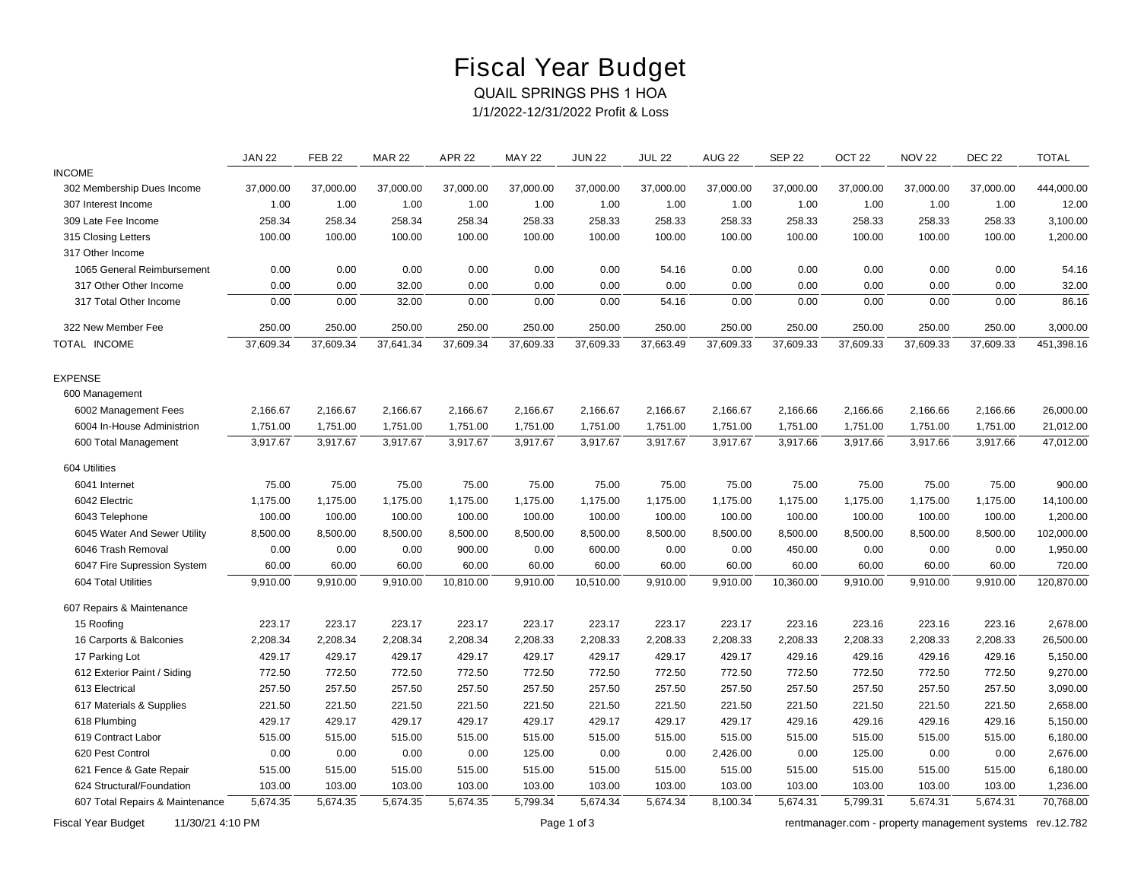# Fiscal Year Budget

### QUAIL SPRINGS PHS 1 HOA

*1/1/2022-12/31/2022 Profit & Loss*

|                                 | <b>JAN 22</b> | <b>FEB 22</b> | <b>MAR 22</b> | <b>APR 22</b> | <b>MAY 22</b> | <b>JUN 22</b> | <b>JUL 22</b> | <b>AUG 22</b> | <b>SEP 22</b> | OCT <sub>22</sub> | <b>NOV 22</b> | <b>DEC 22</b> | <b>TOTAL</b> |
|---------------------------------|---------------|---------------|---------------|---------------|---------------|---------------|---------------|---------------|---------------|-------------------|---------------|---------------|--------------|
| <b>INCOME</b>                   |               |               |               |               |               |               |               |               |               |                   |               |               |              |
| 302 Membership Dues Income      | 37,000.00     | 37,000.00     | 37,000.00     | 37,000.00     | 37,000.00     | 37,000.00     | 37,000.00     | 37,000.00     | 37,000.00     | 37,000.00         | 37,000.00     | 37,000.00     | 444,000.00   |
| 307 Interest Income             | 1.00          | 1.00          | 1.00          | 1.00          | 1.00          | 1.00          | 1.00          | 1.00          | 1.00          | 1.00              | 1.00          | 1.00          | 12.00        |
| 309 Late Fee Income             | 258.34        | 258.34        | 258.34        | 258.34        | 258.33        | 258.33        | 258.33        | 258.33        | 258.33        | 258.33            | 258.33        | 258.33        | 3,100.00     |
| 315 Closing Letters             | 100.00        | 100.00        | 100.00        | 100.00        | 100.00        | 100.00        | 100.00        | 100.00        | 100.00        | 100.00            | 100.00        | 100.00        | 1,200.00     |
| 317 Other Income                |               |               |               |               |               |               |               |               |               |                   |               |               |              |
| 1065 General Reimbursement      | 0.00          | 0.00          | 0.00          | 0.00          | 0.00          | 0.00          | 54.16         | 0.00          | 0.00          | 0.00              | 0.00          | 0.00          | 54.16        |
| 317 Other Other Income          | 0.00          | 0.00          | 32.00         | 0.00          | 0.00          | 0.00          | 0.00          | 0.00          | 0.00          | 0.00              | 0.00          | 0.00          | 32.00        |
| 317 Total Other Income          | 0.00          | 0.00          | 32.00         | 0.00          | 0.00          | 0.00          | 54.16         | 0.00          | 0.00          | 0.00              | 0.00          | 0.00          | 86.16        |
| 322 New Member Fee              | 250.00        | 250.00        | 250.00        | 250.00        | 250.00        | 250.00        | 250.00        | 250.00        | 250.00        | 250.00            | 250.00        | 250.00        | 3,000.00     |
| TOTAL INCOME                    | 37,609.34     | 37,609.34     | 37,641.34     | 37,609.34     | 37,609.33     | 37,609.33     | 37,663.49     | 37,609.33     | 37,609.33     | 37,609.33         | 37,609.33     | 37,609.33     | 451,398.16   |
| <b>EXPENSE</b>                  |               |               |               |               |               |               |               |               |               |                   |               |               |              |
| 600 Management                  |               |               |               |               |               |               |               |               |               |                   |               |               |              |
| 6002 Management Fees            | 2,166.67      | 2,166.67      | 2,166.67      | 2,166.67      | 2,166.67      | 2,166.67      | 2,166.67      | 2,166.67      | 2,166.66      | 2,166.66          | 2,166.66      | 2,166.66      | 26,000.00    |
| 6004 In-House Administrion      | 1,751.00      | 1,751.00      | 1,751.00      | 1,751.00      | 1,751.00      | 1,751.00      | 1,751.00      | 1,751.00      | 1,751.00      | 1,751.00          | 1,751.00      | 1,751.00      | 21,012.00    |
| 600 Total Management            | 3,917.67      | 3,917.67      | 3,917.67      | 3,917.67      | 3,917.67      | 3,917.67      | 3,917.67      | 3,917.67      | 3,917.66      | 3,917.66          | 3,917.66      | 3,917.66      | 47,012.00    |
| 604 Utilities                   |               |               |               |               |               |               |               |               |               |                   |               |               |              |
| 6041 Internet                   | 75.00         | 75.00         | 75.00         | 75.00         | 75.00         | 75.00         | 75.00         | 75.00         | 75.00         | 75.00             | 75.00         | 75.00         | 900.00       |
| 6042 Electric                   | 1,175.00      | 1,175.00      | 1,175.00      | 1,175.00      | 1,175.00      | 1,175.00      | 1,175.00      | 1,175.00      | 1,175.00      | 1,175.00          | 1,175.00      | 1,175.00      | 14,100.00    |
| 6043 Telephone                  | 100.00        | 100.00        | 100.00        | 100.00        | 100.00        | 100.00        | 100.00        | 100.00        | 100.00        | 100.00            | 100.00        | 100.00        | 1,200.00     |
| 6045 Water And Sewer Utility    | 8,500.00      | 8,500.00      | 8,500.00      | 8,500.00      | 8,500.00      | 8,500.00      | 8,500.00      | 8,500.00      | 8,500.00      | 8,500.00          | 8,500.00      | 8,500.00      | 102,000.00   |
| 6046 Trash Removal              | 0.00          | 0.00          | 0.00          | 900.00        | 0.00          | 600.00        | 0.00          | 0.00          | 450.00        | 0.00              | 0.00          | 0.00          | 1,950.00     |
| 6047 Fire Supression System     | 60.00         | 60.00         | 60.00         | 60.00         | 60.00         | 60.00         | 60.00         | 60.00         | 60.00         | 60.00             | 60.00         | 60.00         | 720.00       |
| 604 Total Utilities             | 9,910.00      | 9,910.00      | 9,910.00      | 10,810.00     | 9,910.00      | 10,510.00     | 9,910.00      | 9,910.00      | 10,360.00     | 9,910.00          | 9,910.00      | 9,910.00      | 120,870.00   |
| 607 Repairs & Maintenance       |               |               |               |               |               |               |               |               |               |                   |               |               |              |
| 15 Roofing                      | 223.17        | 223.17        | 223.17        | 223.17        | 223.17        | 223.17        | 223.17        | 223.17        | 223.16        | 223.16            | 223.16        | 223.16        | 2,678.00     |
| 16 Carports & Balconies         | 2,208.34      | 2,208.34      | 2,208.34      | 2,208.34      | 2,208.33      | 2,208.33      | 2,208.33      | 2,208.33      | 2,208.33      | 2,208.33          | 2,208.33      | 2,208.33      | 26,500.00    |
| 17 Parking Lot                  | 429.17        | 429.17        | 429.17        | 429.17        | 429.17        | 429.17        | 429.17        | 429.17        | 429.16        | 429.16            | 429.16        | 429.16        | 5,150.00     |
| 612 Exterior Paint / Siding     | 772.50        | 772.50        | 772.50        | 772.50        | 772.50        | 772.50        | 772.50        | 772.50        | 772.50        | 772.50            | 772.50        | 772.50        | 9,270.00     |
| 613 Electrical                  | 257.50        | 257.50        | 257.50        | 257.50        | 257.50        | 257.50        | 257.50        | 257.50        | 257.50        | 257.50            | 257.50        | 257.50        | 3,090.00     |
| 617 Materials & Supplies        | 221.50        | 221.50        | 221.50        | 221.50        | 221.50        | 221.50        | 221.50        | 221.50        | 221.50        | 221.50            | 221.50        | 221.50        | 2,658.00     |
| 618 Plumbing                    | 429.17        | 429.17        | 429.17        | 429.17        | 429.17        | 429.17        | 429.17        | 429.17        | 429.16        | 429.16            | 429.16        | 429.16        | 5,150.00     |
| 619 Contract Labor              | 515.00        | 515.00        | 515.00        | 515.00        | 515.00        | 515.00        | 515.00        | 515.00        | 515.00        | 515.00            | 515.00        | 515.00        | 6,180.00     |
| 620 Pest Control                | 0.00          | 0.00          | 0.00          | 0.00          | 125.00        | 0.00          | 0.00          | 2,426.00      | 0.00          | 125.00            | 0.00          | 0.00          | 2,676.00     |
| 621 Fence & Gate Repair         | 515.00        | 515.00        | 515.00        | 515.00        | 515.00        | 515.00        | 515.00        | 515.00        | 515.00        | 515.00            | 515.00        | 515.00        | 6,180.00     |
| 624 Structural/Foundation       | 103.00        | 103.00        | 103.00        | 103.00        | 103.00        | 103.00        | 103.00        | 103.00        | 103.00        | 103.00            | 103.00        | 103.00        | 1,236.00     |
| 607 Total Repairs & Maintenance | 5,674.35      | 5.674.35      | 5,674.35      | 5,674.35      | 5.799.34      | 5,674.34      | 5,674.34      | 8,100.34      | 5,674.31      | 5.799.31          | 5,674.31      | 5,674.31      | 70,768.00    |

*Fiscal Year Budget 11/30/21 4:10 PM Page 1 of 3 [rentmanager.com - property management systems rev.12.782](http://www.rentmanager.com)*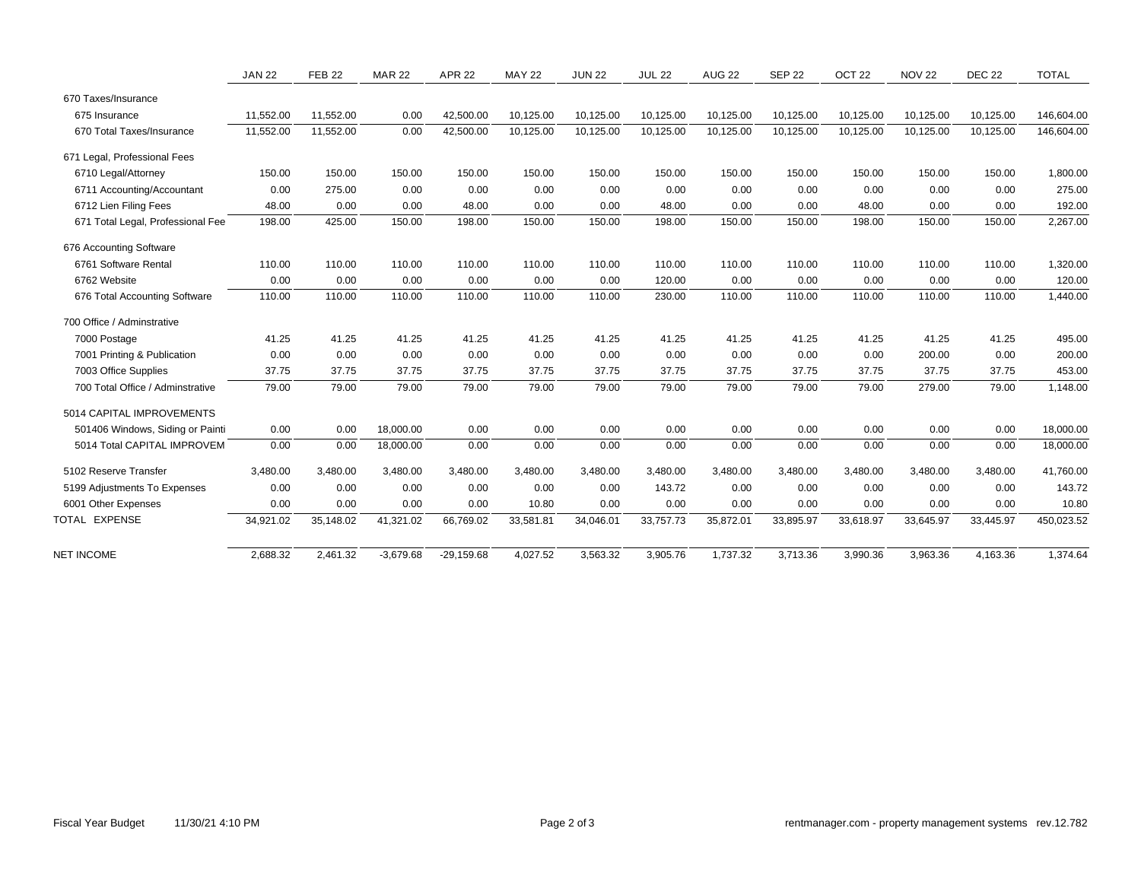|                                   | <b>JAN 22</b> | <b>FEB 22</b> | <b>MAR 22</b> | <b>APR 22</b> | <b>MAY 22</b> | <b>JUN 22</b> | <b>JUL 22</b> | <b>AUG 22</b> | <b>SEP 22</b> | OCT <sub>22</sub> | <b>NOV 22</b> | <b>DEC 22</b> | <b>TOTAL</b> |
|-----------------------------------|---------------|---------------|---------------|---------------|---------------|---------------|---------------|---------------|---------------|-------------------|---------------|---------------|--------------|
| 670 Taxes/Insurance               |               |               |               |               |               |               |               |               |               |                   |               |               |              |
| 675 Insurance                     | 11,552.00     | 11,552.00     | 0.00          | 42,500.00     | 10,125.00     | 10,125.00     | 10,125.00     | 10,125.00     | 10,125.00     | 10,125.00         | 10,125.00     | 10,125.00     | 146,604.00   |
| 670 Total Taxes/Insurance         | 11,552.00     | 11,552.00     | 0.00          | 42,500.00     | 10,125.00     | 10,125.00     | 10,125.00     | 10,125.00     | 10,125.00     | 10,125.00         | 10,125.00     | 10,125.00     | 146,604.00   |
| 671 Legal, Professional Fees      |               |               |               |               |               |               |               |               |               |                   |               |               |              |
| 6710 Legal/Attorney               | 150.00        | 150.00        | 150.00        | 150.00        | 150.00        | 150.00        | 150.00        | 150.00        | 150.00        | 150.00            | 150.00        | 150.00        | 1,800.00     |
| 6711 Accounting/Accountant        | 0.00          | 275.00        | 0.00          | 0.00          | 0.00          | 0.00          | 0.00          | 0.00          | 0.00          | 0.00              | 0.00          | 0.00          | 275.00       |
| 6712 Lien Filing Fees             | 48.00         | 0.00          | 0.00          | 48.00         | 0.00          | 0.00          | 48.00         | 0.00          | 0.00          | 48.00             | 0.00          | 0.00          | 192.00       |
| 671 Total Legal, Professional Fee | 198.00        | 425.00        | 150.00        | 198.00        | 150.00        | 150.00        | 198.00        | 150.00        | 150.00        | 198.00            | 150.00        | 150.00        | 2,267.00     |
| 676 Accounting Software           |               |               |               |               |               |               |               |               |               |                   |               |               |              |
| 6761 Software Rental              | 110.00        | 110.00        | 110.00        | 110.00        | 110.00        | 110.00        | 110.00        | 110.00        | 110.00        | 110.00            | 110.00        | 110.00        | 1,320.00     |
| 6762 Website                      | 0.00          | 0.00          | 0.00          | 0.00          | 0.00          | 0.00          | 120.00        | 0.00          | 0.00          | 0.00              | 0.00          | 0.00          | 120.00       |
| 676 Total Accounting Software     | 110.00        | 110.00        | 110.00        | 110.00        | 110.00        | 110.00        | 230.00        | 110.00        | 110.00        | 110.00            | 110.00        | 110.00        | 1,440.00     |
| 700 Office / Adminstrative        |               |               |               |               |               |               |               |               |               |                   |               |               |              |
| 7000 Postage                      | 41.25         | 41.25         | 41.25         | 41.25         | 41.25         | 41.25         | 41.25         | 41.25         | 41.25         | 41.25             | 41.25         | 41.25         | 495.00       |
| 7001 Printing & Publication       | 0.00          | 0.00          | 0.00          | 0.00          | 0.00          | 0.00          | 0.00          | 0.00          | 0.00          | 0.00              | 200.00        | 0.00          | 200.00       |
| 7003 Office Supplies              | 37.75         | 37.75         | 37.75         | 37.75         | 37.75         | 37.75         | 37.75         | 37.75         | 37.75         | 37.75             | 37.75         | 37.75         | 453.00       |
| 700 Total Office / Adminstrative  | 79.00         | 79.00         | 79.00         | 79.00         | 79.00         | 79.00         | 79.00         | 79.00         | 79.00         | 79.00             | 279.00        | 79.00         | 1,148.00     |
| 5014 CAPITAL IMPROVEMENTS         |               |               |               |               |               |               |               |               |               |                   |               |               |              |
| 501406 Windows, Siding or Painti  | 0.00          | 0.00          | 18,000.00     | 0.00          | 0.00          | 0.00          | 0.00          | 0.00          | 0.00          | 0.00              | 0.00          | 0.00          | 18,000.00    |
| 5014 Total CAPITAL IMPROVEM       | 0.00          | 0.00          | 18,000.00     | 0.00          | 0.00          | 0.00          | 0.00          | 0.00          | 0.00          | 0.00              | 0.00          | 0.00          | 18,000.00    |
| 5102 Reserve Transfer             | 3,480.00      | 3,480.00      | 3,480.00      | 3,480.00      | 3,480.00      | 3,480.00      | 3,480.00      | 3,480.00      | 3,480.00      | 3,480.00          | 3,480.00      | 3,480.00      | 41,760.00    |
| 5199 Adjustments To Expenses      | 0.00          | 0.00          | 0.00          | 0.00          | 0.00          | 0.00          | 143.72        | 0.00          | 0.00          | 0.00              | 0.00          | 0.00          | 143.72       |
| 6001 Other Expenses               | 0.00          | 0.00          | 0.00          | 0.00          | 10.80         | 0.00          | 0.00          | 0.00          | 0.00          | 0.00              | 0.00          | 0.00          | 10.80        |
| TOTAL EXPENSE                     | 34,921.02     | 35,148.02     | 41,321.02     | 66,769.02     | 33,581.81     | 34,046.01     | 33,757.73     | 35,872.01     | 33,895.97     | 33,618.97         | 33,645.97     | 33,445.97     | 450,023.52   |
|                                   |               |               |               |               |               |               |               |               |               |                   |               |               |              |
| <b>NET INCOME</b>                 | 2,688.32      | 2,461.32      | $-3,679.68$   | $-29,159.68$  | 4,027.52      | 3,563.32      | 3,905.76      | 1,737.32      | 3,713.36      | 3,990.36          | 3,963.36      | 4,163.36      | 1,374.64     |